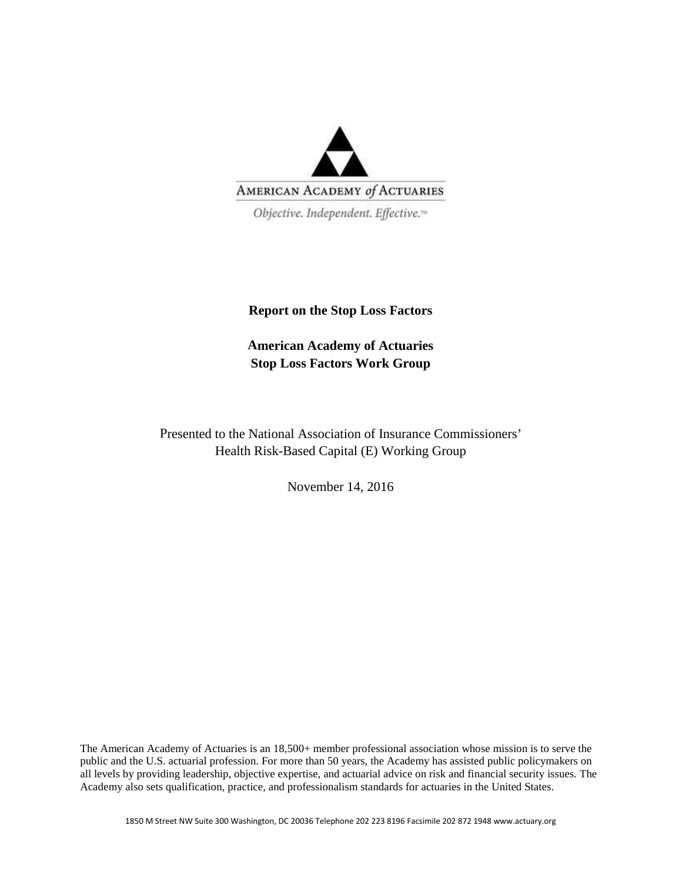

Objective. Independent. Effective.<sup>14</sup>

## **Report on the Stop Loss Factors**

**American Academy of Actuaries Stop Loss Factors Work Group** 

Presented to the National Association of Insurance Commissioners' Health Risk-Based Capital (E) Working Group

November 14, 2016

The American Academy of Actuaries is an 18,500+ member professional association whose mission is to serve the public and the U.S. actuarial profession. For more than 50 years, the Academy has assisted public policymakers on all levels by providing leadership, objective expertise, and actuarial advice on risk and financial security issues. The Academy also sets qualification, practice, and professionalism standards for actuaries in the United States.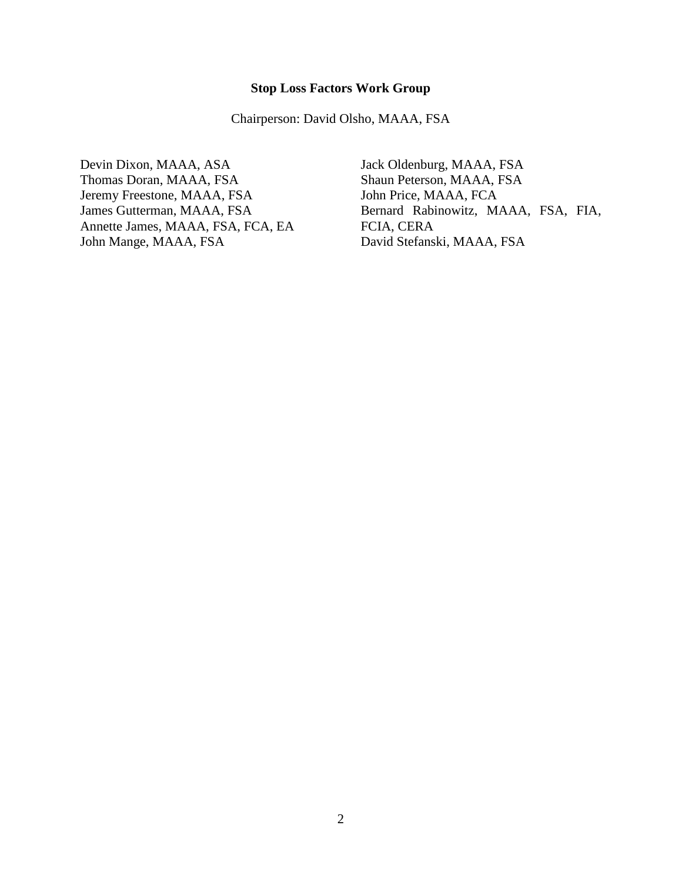**Stop Loss Factors Work Group**

Chairperson: David Olsho, MAAA, FSA

Devin Dixon, MAAA, ASA Thomas Doran, MAAA, FSA Jeremy Freestone, MAAA, FSA James Gutterman, MAAA, FSA Annette James, MAAA, FSA, FCA, EA John Mange, MAAA, FSA

Jack Oldenburg, MAAA, FSA Shaun Peterson, MAAA, FSA John Price, MAAA, FCA Bernard Rabinowitz, MAAA, FSA, FIA, FCIA, CERA David Stefanski, MAAA, FSA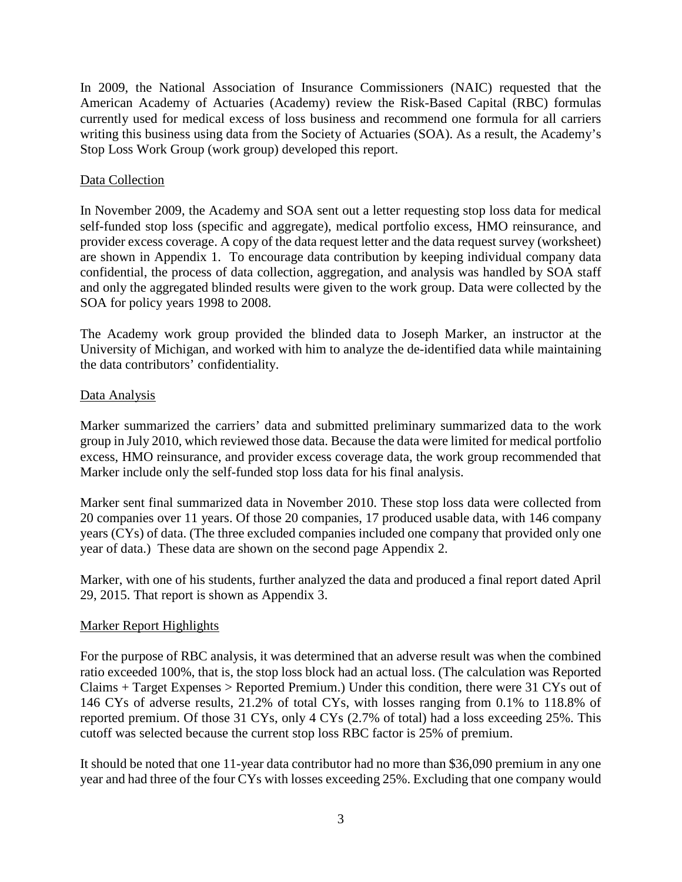In 2009, the National Association of Insurance Commissioners (NAIC) requested that the American Academy of Actuaries (Academy) review the Risk-Based Capital (RBC) formulas currently used for medical excess of loss business and recommend one formula for all carriers writing this business using data from the Society of Actuaries (SOA). As a result, the Academy's Stop Loss Work Group (work group) developed this report.

## Data Collection

In November 2009, the Academy and SOA sent out a letter requesting stop loss data for medical self-funded stop loss (specific and aggregate), medical portfolio excess, HMO reinsurance, and provider excess coverage. A copy of the data request letter and the data request survey (worksheet) are shown in Appendix 1. To encourage data contribution by keeping individual company data confidential, the process of data collection, aggregation, and analysis was handled by SOA staff and only the aggregated blinded results were given to the work group. Data were collected by the SOA for policy years 1998 to 2008.

The Academy work group provided the blinded data to Joseph Marker, an instructor at the University of Michigan, and worked with him to analyze the de-identified data while maintaining the data contributors' confidentiality.

## Data Analysis

Marker summarized the carriers' data and submitted preliminary summarized data to the work group in July 2010, which reviewed those data. Because the data were limited for medical portfolio excess, HMO reinsurance, and provider excess coverage data, the work group recommended that Marker include only the self-funded stop loss data for his final analysis.

Marker sent final summarized data in November 2010. These stop loss data were collected from 20 companies over 11 years. Of those 20 companies, 17 produced usable data, with 146 company years (CYs) of data. (The three excluded companies included one company that provided only one year of data.) These data are shown on the second page Appendix 2.

Marker, with one of his students, further analyzed the data and produced a final report dated April 29, 2015. That report is shown as Appendix 3.

## Marker Report Highlights

For the purpose of RBC analysis, it was determined that an adverse result was when the combined ratio exceeded 100%, that is, the stop loss block had an actual loss. (The calculation was Reported Claims + Target Expenses > Reported Premium.) Under this condition, there were 31 CYs out of 146 CYs of adverse results, 21.2% of total CYs, with losses ranging from 0.1% to 118.8% of reported premium. Of those 31 CYs, only 4 CYs (2.7% of total) had a loss exceeding 25%. This cutoff was selected because the current stop loss RBC factor is 25% of premium.

It should be noted that one 11-year data contributor had no more than \$36,090 premium in any one year and had three of the four CYs with losses exceeding 25%. Excluding that one company would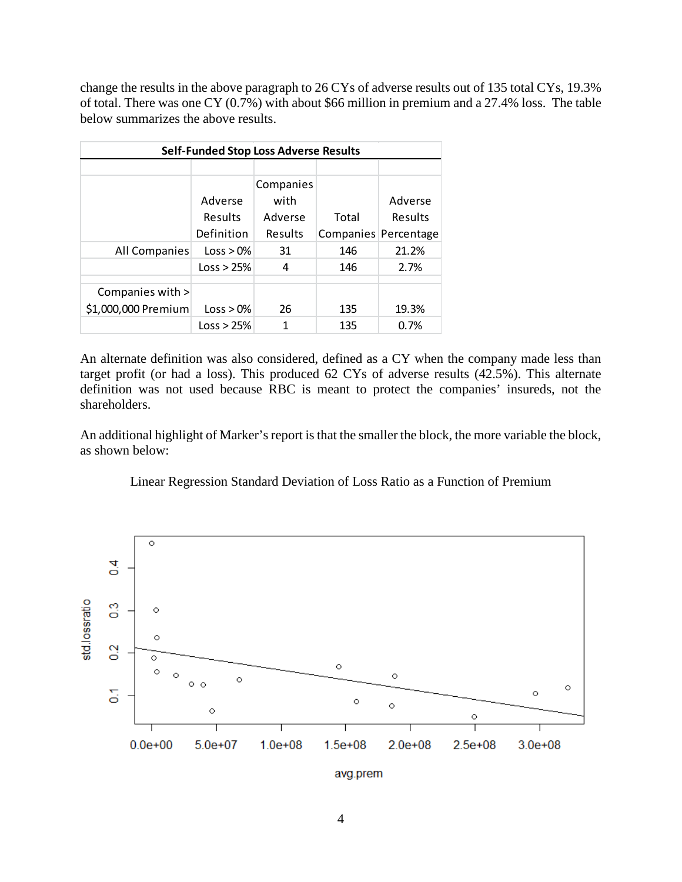change the results in the above paragraph to 26 CYs of adverse results out of 135 total CYs, 19.3% of total. There was one CY (0.7%) with about \$66 million in premium and a 27.4% loss. The table below summarizes the above results.

|                     |            | <b>Self-Funded Stop Loss Adverse Results</b> |       |                      |
|---------------------|------------|----------------------------------------------|-------|----------------------|
|                     |            |                                              |       |                      |
|                     |            | Companies                                    |       |                      |
|                     | Adverse    | with                                         |       | Adverse              |
|                     | Results    | Adverse                                      | Total | Results              |
|                     | Definition | Results                                      |       | Companies Percentage |
| All Companies       | Loss > 0%  | 31                                           | 146   | 21.2%                |
|                     | Loss > 25% | 4                                            | 146   | 2.7%                 |
|                     |            |                                              |       |                      |
| Companies with >    |            |                                              |       |                      |
| \$1,000,000 Premium | Loss > 0%  | 26                                           | 135   | 19.3%                |
|                     | Loss > 25% | 1                                            | 135   | 0.7%                 |

An alternate definition was also considered, defined as a CY when the company made less than target profit (or had a loss). This produced 62 CYs of adverse results (42.5%). This alternate definition was not used because RBC is meant to protect the companies' insureds, not the shareholders.

An additional highlight of Marker's report is that the smaller the block, the more variable the block, as shown below:

## Linear Regression Standard Deviation of Loss Ratio as a Function of Premium



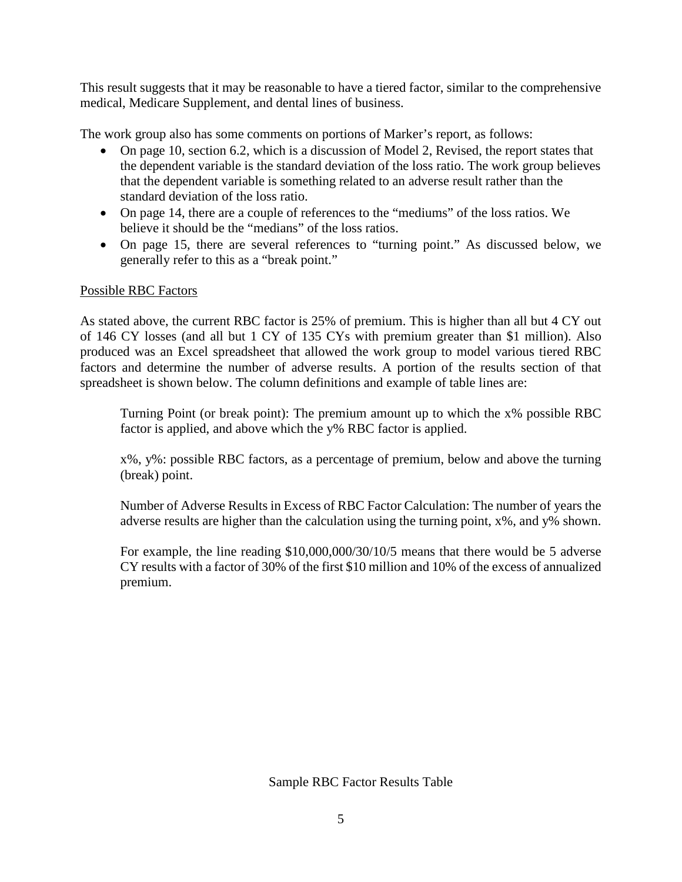This result suggests that it may be reasonable to have a tiered factor, similar to the comprehensive medical, Medicare Supplement, and dental lines of business.

The work group also has some comments on portions of Marker's report, as follows:

- On page 10, section 6.2, which is a discussion of Model 2, Revised, the report states that the dependent variable is the standard deviation of the loss ratio. The work group believes that the dependent variable is something related to an adverse result rather than the standard deviation of the loss ratio.
- On page 14, there are a couple of references to the "mediums" of the loss ratios. We believe it should be the "medians" of the loss ratios.
- On page 15, there are several references to "turning point." As discussed below, we generally refer to this as a "break point."

## Possible RBC Factors

As stated above, the current RBC factor is 25% of premium. This is higher than all but 4 CY out of 146 CY losses (and all but 1 CY of 135 CYs with premium greater than \$1 million). Also produced was an Excel spreadsheet that allowed the work group to model various tiered RBC factors and determine the number of adverse results. A portion of the results section of that spreadsheet is shown below. The column definitions and example of table lines are:

Turning Point (or break point): The premium amount up to which the x% possible RBC factor is applied, and above which the y% RBC factor is applied.

x%, y%: possible RBC factors, as a percentage of premium, below and above the turning (break) point.

Number of Adverse Results in Excess of RBC Factor Calculation: The number of years the adverse results are higher than the calculation using the turning point, x%, and y% shown.

For example, the line reading \$10,000,000/30/10/5 means that there would be 5 adverse CY results with a factor of 30% of the first \$10 million and 10% of the excess of annualized premium.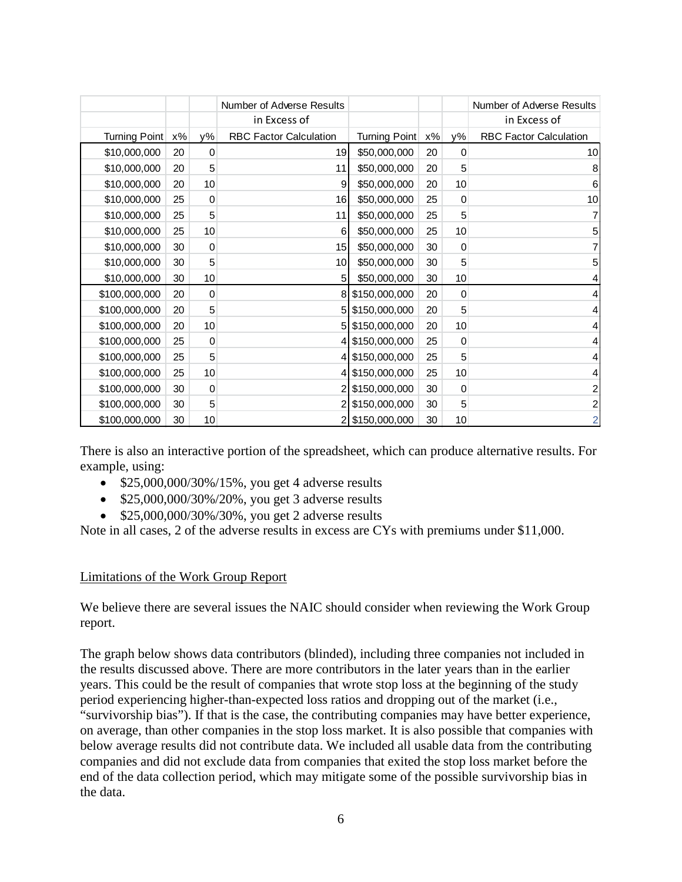|               |       |             | Number of Adverse Results     |               |    |             | Number of Adverse Results     |
|---------------|-------|-------------|-------------------------------|---------------|----|-------------|-------------------------------|
|               |       |             | in Excess of                  |               |    |             | in Excess of                  |
| Turning Point | $x\%$ | у%          | <b>RBC Factor Calculation</b> | Turning Point | x% | у%          | <b>RBC Factor Calculation</b> |
| \$10,000,000  | 20    | 0           | 19                            | \$50,000,000  | 20 | 0           | 10                            |
| \$10,000,000  | 20    | 5           | 11                            | \$50,000,000  | 20 | 5           | 8                             |
| \$10,000,000  | 20    | 10          | 9                             | \$50,000,000  | 20 | 10          | 6                             |
| \$10,000,000  | 25    | 0           | 16                            | \$50,000,000  | 25 | 0           | 10 <sup>1</sup>               |
| \$10,000,000  | 25    | 5           | 11                            | \$50,000,000  | 25 | 5           |                               |
| \$10,000,000  | 25    | 10          | 6                             | \$50,000,000  | 25 | 10          | 5                             |
| \$10,000,000  | 30    | $\mathbf 0$ | 15 <sup>1</sup>               | \$50,000,000  | 30 | $\mathbf 0$ | 7                             |
| \$10,000,000  | 30    | 5           | 10 <sup>1</sup>               | \$50,000,000  | 30 | 5           | 5                             |
| \$10,000,000  | 30    | 10          | 5                             | \$50,000,000  | 30 | 10          | 4                             |
| \$100,000,000 | 20    | 0           |                               | \$150,000,000 | 20 | 0           | 4                             |
| \$100,000,000 | 20    | 5           |                               | \$150,000,000 | 20 | 5           | 4                             |
| \$100,000,000 | 20    | 10          | 5                             | \$150,000,000 | 20 | 10          | 4                             |
| \$100,000,000 | 25    | 0           |                               | \$150,000,000 | 25 | 0           | 4                             |
| \$100,000,000 | 25    | 5           |                               | \$150,000,000 | 25 | 5           | 4                             |
| \$100,000,000 | 25    | 10          |                               | \$150,000,000 | 25 | 10          | 4                             |
| \$100,000,000 | 30    | $\mathbf 0$ |                               | \$150,000,000 | 30 | $\mathbf 0$ | $\mathbf{2}$                  |
| \$100,000,000 | 30    | 5           |                               | \$150,000,000 | 30 | 5           | $\mathbf{2}$                  |
| \$100,000,000 | 30    | 10          |                               | 25150,000,000 | 30 | 10          | $\overline{2}$                |

There is also an interactive portion of the spreadsheet, which can produce alternative results. For example, using:

- $$25,000,000/30\%/15\%$ , you get 4 adverse results
- \$25,000,000/30%/20%, you get 3 adverse results
- $$25,000,000/30\%/30\%$ , you get 2 adverse results

Note in all cases, 2 of the adverse results in excess are CYs with premiums under \$11,000.

## Limitations of the Work Group Report

We believe there are several issues the NAIC should consider when reviewing the Work Group report.

The graph below shows data contributors (blinded), including three companies not included in the results discussed above. There are more contributors in the later years than in the earlier years. This could be the result of companies that wrote stop loss at the beginning of the study period experiencing higher-than-expected loss ratios and dropping out of the market (i.e., "survivorship bias"). If that is the case, the contributing companies may have better experience, on average, than other companies in the stop loss market. It is also possible that companies with below average results did not contribute data. We included all usable data from the contributing companies and did not exclude data from companies that exited the stop loss market before the end of the data collection period, which may mitigate some of the possible survivorship bias in the data.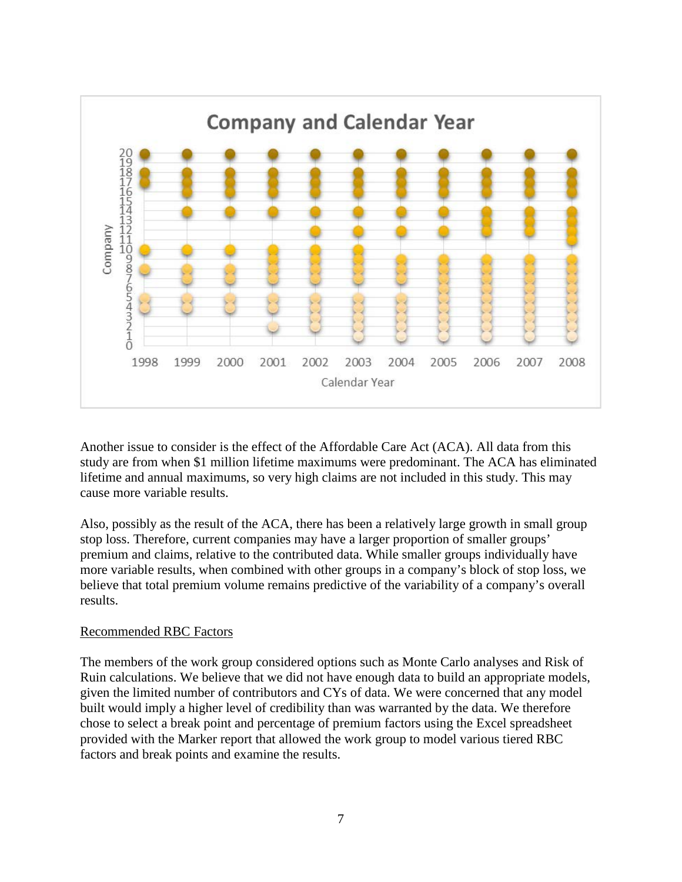

Another issue to consider is the effect of the Affordable Care Act (ACA). All data from this study are from when \$1 million lifetime maximums were predominant. The ACA has eliminated lifetime and annual maximums, so very high claims are not included in this study. This may cause more variable results.

Also, possibly as the result of the ACA, there has been a relatively large growth in small group stop loss. Therefore, current companies may have a larger proportion of smaller groups' premium and claims, relative to the contributed data. While smaller groups individually have more variable results, when combined with other groups in a company's block of stop loss, we believe that total premium volume remains predictive of the variability of a company's overall results.

## Recommended RBC Factors

The members of the work group considered options such as Monte Carlo analyses and Risk of Ruin calculations. We believe that we did not have enough data to build an appropriate models, given the limited number of contributors and CYs of data. We were concerned that any model built would imply a higher level of credibility than was warranted by the data. We therefore chose to select a break point and percentage of premium factors using the Excel spreadsheet provided with the Marker report that allowed the work group to model various tiered RBC factors and break points and examine the results.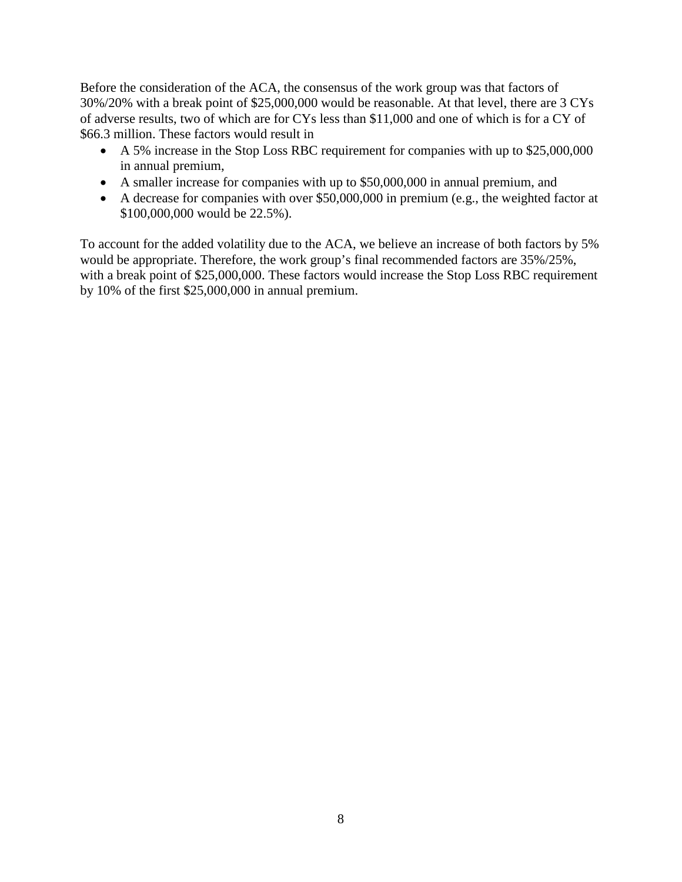Before the consideration of the ACA, the consensus of the work group was that factors of 30%/20% with a break point of \$25,000,000 would be reasonable. At that level, there are 3 CYs of adverse results, two of which are for CYs less than \$11,000 and one of which is for a CY of \$66.3 million. These factors would result in

- A 5% increase in the Stop Loss RBC requirement for companies with up to \$25,000,000 in annual premium,
- A smaller increase for companies with up to \$50,000,000 in annual premium, and
- A decrease for companies with over \$50,000,000 in premium (e.g., the weighted factor at \$100,000,000 would be 22.5%).

To account for the added volatility due to the ACA, we believe an increase of both factors by 5% would be appropriate. Therefore, the work group's final recommended factors are 35%/25%, with a break point of \$25,000,000. These factors would increase the Stop Loss RBC requirement by 10% of the first \$25,000,000 in annual premium.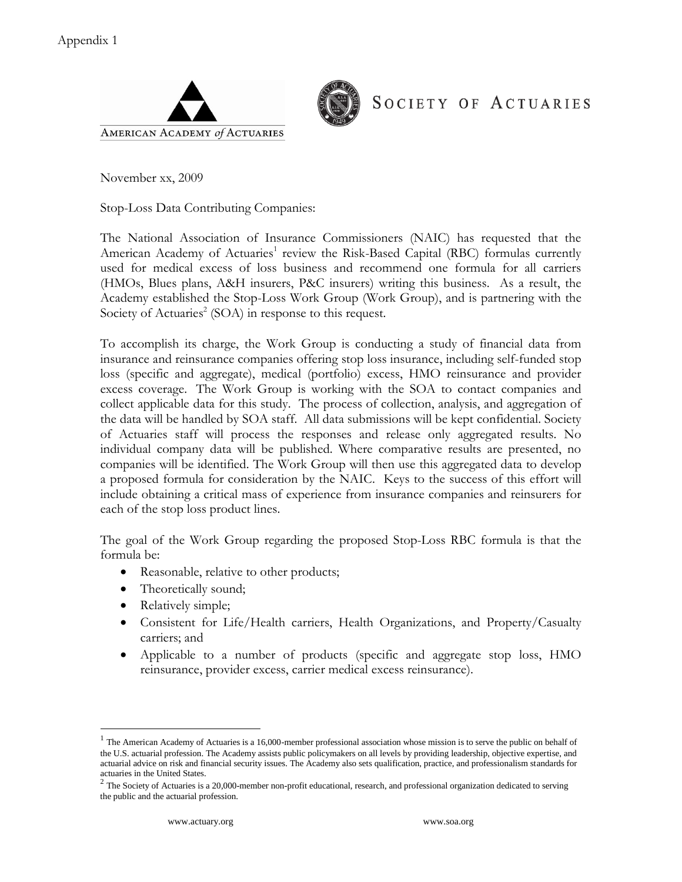



SOCIETY OF ACTUARIES

November xx, 2009

Stop-Loss Data Contributing Companies:

The National Association of Insurance Commissioners (NAIC) has requested that the American Academy of Actuaries<sup>1</sup> review the Risk-Based Capital (RBC) formulas currently used for medical excess of loss business and recommend one formula for all carriers (HMOs, Blues plans, A&H insurers, P&C insurers) writing this business. As a result, the Academy established the Stop-Loss Work Group (Work Group), and is partnering with the Society of Actuaries<sup>2</sup> (SOA) in response to this request.

To accomplish its charge, the Work Group is conducting a study of financial data from insurance and reinsurance companies offering stop loss insurance, including self-funded stop loss (specific and aggregate), medical (portfolio) excess, HMO reinsurance and provider excess coverage. The Work Group is working with the SOA to contact companies and collect applicable data for this study. The process of collection, analysis, and aggregation of the data will be handled by SOA staff. All data submissions will be kept confidential. Society of Actuaries staff will process the responses and release only aggregated results. No individual company data will be published. Where comparative results are presented, no companies will be identified. The Work Group will then use this aggregated data to develop a proposed formula for consideration by the NAIC. Keys to the success of this effort will include obtaining a critical mass of experience from insurance companies and reinsurers for each of the stop loss product lines.

The goal of the Work Group regarding the proposed Stop-Loss RBC formula is that the formula be:

- Reasonable, relative to other products;
- Theoretically sound;
- Relatively simple;
- Consistent for Life/Health carriers, Health Organizations, and Property/Casualty carriers; and
- Applicable to a number of products (specific and aggregate stop loss, HMO reinsurance, provider excess, carrier medical excess reinsurance).

 $<sup>1</sup>$  The American Academy of Actuaries is a 16,000-member professional association whose mission is to serve the public on behalf of</sup> the U.S. actuarial profession. The Academy assists public policymakers on all levels by providing leadership, objective expertise, and actuarial advice on risk and financial security issues. The Academy also sets qualification, practice, and professionalism standards for actuaries in the United States.

 $2$  The Society of Actuaries is a 20,000-member non-profit educational, research, and professional organization dedicated to serving the public and the actuarial profession.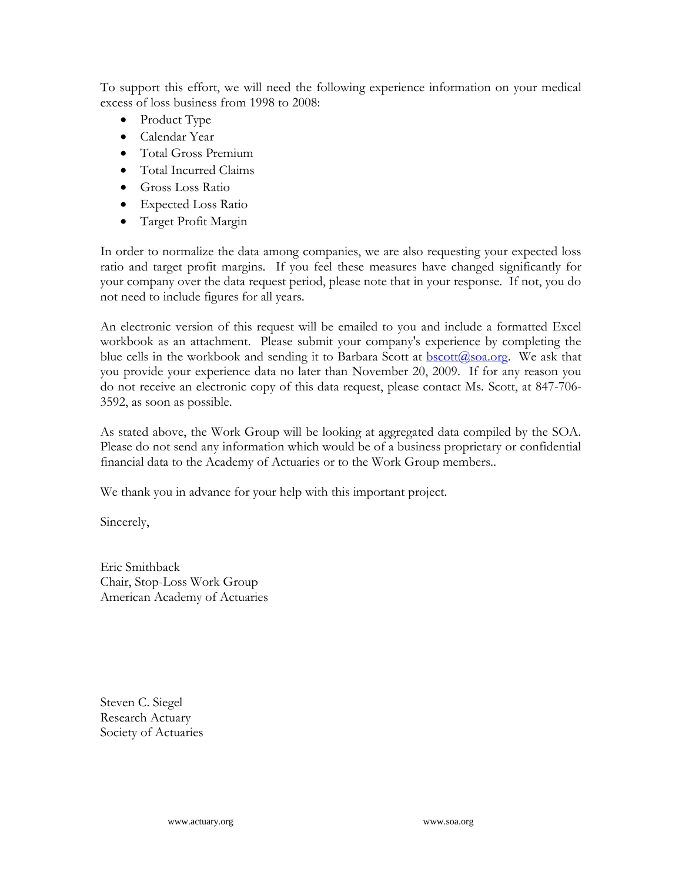To support this effort, we will need the following experience information on your medical excess of loss business from 1998 to 2008:

- Product Type
- Calendar Year
- Total Gross Premium
- Total Incurred Claims
- Gross Loss Ratio
- Expected Loss Ratio
- Target Profit Margin

In order to normalize the data among companies, we are also requesting your expected loss ratio and target profit margins. If you feel these measures have changed significantly for your company over the data request period, please note that in your response. If not, you do not need to include figures for all years.

An electronic version of this request will be emailed to you and include a formatted Excel workbook as an attachment. Please submit your company's experience by completing the blue cells in the workbook and sending it to Barbara Scott at  $\frac{bscott(a)$ soa.org. We ask that you provide your experience data no later than November 20, 2009. If for any reason you do not receive an electronic copy of this data request, please contact Ms. Scott, at 847-706- 3592, as soon as possible.

As stated above, the Work Group will be looking at aggregated data compiled by the SOA. Please do not send any information which would be of a business proprietary or confidential financial data to the Academy of Actuaries or to the Work Group members..

We thank you in advance for your help with this important project.

Sincerely,

Eric Smithback Chair, Stop-Loss Work Group American Academy of Actuaries

Steven C. Siegel Research Actuary Society of Actuaries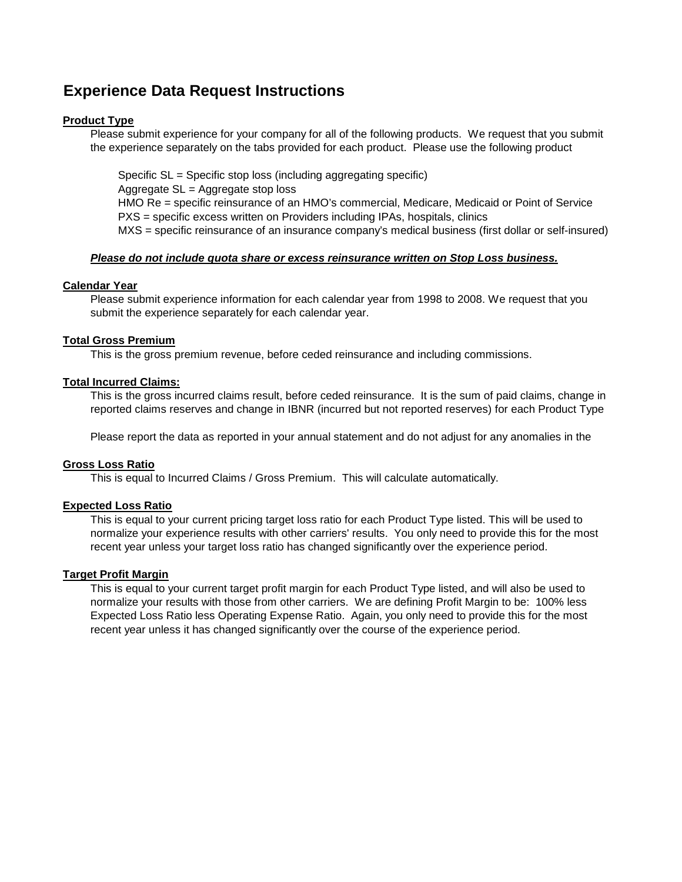## **Experience Data Request Instructions**

## **Product Type**

Please submit experience for your company for all of the following products. We request that you submit the experience separately on the tabs provided for each product. Please use the following product

Specific SL = Specific stop loss (including aggregating specific) Aggregate SL = Aggregate stop loss HMO Re = specific reinsurance of an HMO's commercial, Medicare, Medicaid or Point of Service PXS = specific excess written on Providers including IPAs, hospitals, clinics

MXS = specific reinsurance of an insurance company's medical business (first dollar or self-insured)

## **Please do not include quota share or excess reinsurance written on Stop Loss business.**

## **Calendar Year**

Please submit experience information for each calendar year from 1998 to 2008. We request that you submit the experience separately for each calendar year.

## **Total Gross Premium**

This is the gross premium revenue, before ceded reinsurance and including commissions.

## **Total Incurred Claims:**

This is the gross incurred claims result, before ceded reinsurance. It is the sum of paid claims, change in reported claims reserves and change in IBNR (incurred but not reported reserves) for each Product Type

Please report the data as reported in your annual statement and do not adjust for any anomalies in the

## **Gross Loss Ratio**

This is equal to Incurred Claims / Gross Premium. This will calculate automatically.

## **Expected Loss Ratio**

This is equal to your current pricing target loss ratio for each Product Type listed. This will be used to normalize your experience results with other carriers' results. You only need to provide this for the most recent year unless your target loss ratio has changed significantly over the experience period.

## **Target Profit Margin**

This is equal to your current target profit margin for each Product Type listed, and will also be used to normalize your results with those from other carriers. We are defining Profit Margin to be: 100% less Expected Loss Ratio less Operating Expense Ratio. Again, you only need to provide this for the most recent year unless it has changed significantly over the course of the experience period.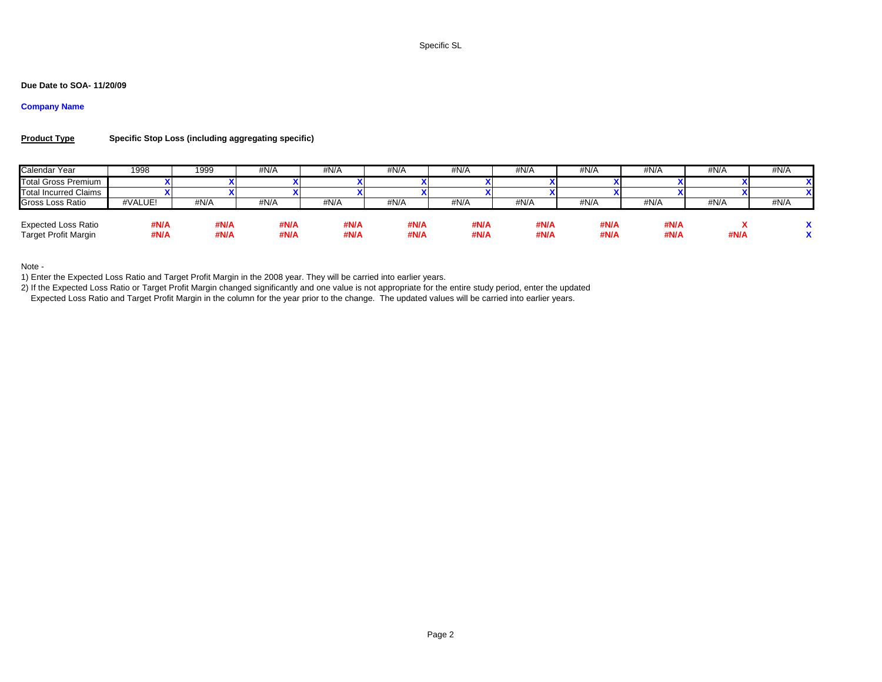Specific SL

## **Due Date to SOA- 11/20/09**

## **Company Name**

#### **Product TypeSpecific Stop Loss (including aggregating specific)**

| Calendar Year                                             | 1998         | 1999         | #N/A         | #N/A         | #N/A         | #N/A         | #N/A         | #N/A         | #N/A         | #N/A | #N/A |
|-----------------------------------------------------------|--------------|--------------|--------------|--------------|--------------|--------------|--------------|--------------|--------------|------|------|
| <b>Total Gross Premium</b>                                |              |              |              |              |              |              |              |              |              |      |      |
| <b>Total Incurred Claims</b>                              |              |              |              |              |              |              |              |              |              |      | xι   |
| Gross Loss Ratio                                          | #VALUE!      | #N/A         | #N/A         | #N/A         | #N/A         | #N/A         | #N/A         | #N/A         | #N/A         | #N/A | #N/A |
| <b>Expected Loss Ratio</b><br><b>Target Profit Margin</b> | #N/A<br>#N/A | #N/A<br>#N/A | #N/A<br>#N/A | #N/A<br>#N/A | #N/A<br>#N/A | #N/A<br>#N/A | #N/A<br>#N/A | #N/A<br>#N/A | #N/A<br>#N/A | #N/A |      |

Note -

1) Enter the Expected Loss Ratio and Target Profit Margin in the 2008 year. They will be carried into earlier years.

2) If the Expected Loss Ratio or Target Profit Margin changed significantly and one value is not appropriate for the entire study period, enter the updated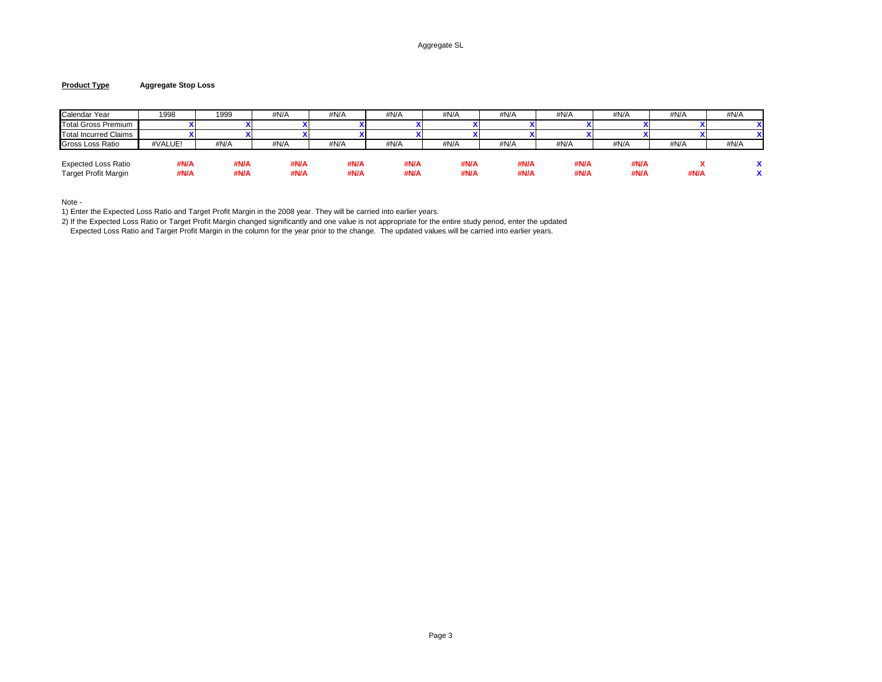## Aggregate SL

#### **Product TypeAggregate Stop Loss**

| Calendar Year                                             | 1998         | 1999         | #N/A         | #N/A         | #N/A         | #N/A         | #N/A         | #N/A         | #N/A         | #N/A | #N/A |
|-----------------------------------------------------------|--------------|--------------|--------------|--------------|--------------|--------------|--------------|--------------|--------------|------|------|
| Total Gross Premium                                       |              |              |              |              |              |              |              |              |              |      |      |
| Total Incurred Claims                                     |              |              |              |              |              |              |              |              |              |      |      |
| Gross Loss Ratio                                          | #VALUE!      | #N/A         | #N/A         | #N/A         | #N/A         | #N/A         | #N/A         | #N/A         | #N/A         | #N/A | #N/A |
| <b>Expected Loss Ratio</b><br><b>Target Profit Margin</b> | #N/A<br>#N/A | #N/A<br>#N/A | #N/A<br>#N/A | #N/A<br>#N/A | #N/A<br>#N/A | #N/A<br>#N/A | #N/A<br>#N/A | #N/A<br>#N/A | #N/A<br>#N/A | #N/A |      |

Note -

1) Enter the Expected Loss Ratio and Target Profit Margin in the 2008 year. They will be carried into earlier years.

2) If the Expected Loss Ratio or Target Profit Margin changed significantly and one value is not appropriate for the entire study period, enter the updated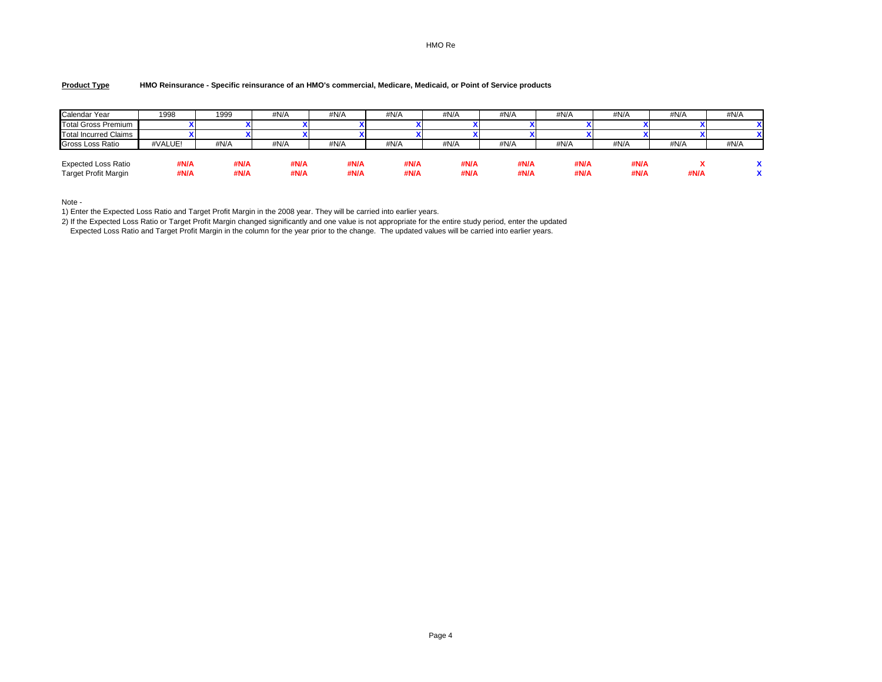## HMO Re

#### **Product TypeHMO Reinsurance - Specific reinsurance of an HMO's commercial, Medicare, Medicaid, or Point of Service products**

| Calendar Year                                      | 1998         | 1999         | #N/A         | #N/A         | #N/A         | #N/A         | #N/A         | #N/A         | #N/A         | #N/A | #N/A |
|----------------------------------------------------|--------------|--------------|--------------|--------------|--------------|--------------|--------------|--------------|--------------|------|------|
| <b>Total Gross Premium</b>                         |              |              |              |              |              |              |              |              |              |      |      |
| Total Incurred Claims                              |              |              |              |              |              |              |              |              |              |      |      |
| Gross Loss Ratio                                   | #VALUE!      | #N/A         | #N/A         | #N/A         | #N/A         | #N/A         | #N/A         | #N/A         | #N/A         | #N/A | #N/A |
| Expected Loss Ratio<br><b>Target Profit Margin</b> | #N/A<br>#N/A | #N/A<br>#N/A | #N/A<br>#N/A | #N/A<br>#N/A | #N/A<br>#N/A | #N/A<br>#N/A | #N/A<br>#N/A | #N/A<br>#N/A | #N/A<br>#N/A | #N/A |      |

Note -

1) Enter the Expected Loss Ratio and Target Profit Margin in the 2008 year. They will be carried into earlier years.

2) If the Expected Loss Ratio or Target Profit Margin changed significantly and one value is not appropriate for the entire study period, enter the updated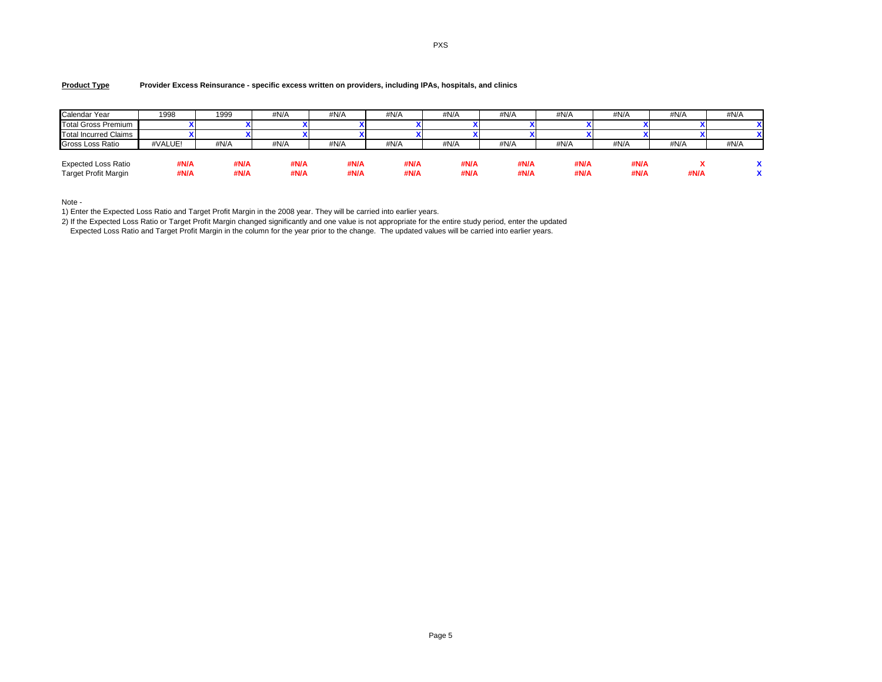#### **Product TypeProvider Excess Reinsurance - specific excess written on providers, including IPAs, hospitals, and clinics**

| Calendar Year                                      | 1998         | 1999         | #N/A         | #N/A         | #N/A         | #N/A         | #N/A         | #N/A         | #N/A         | #N/A | #N/A |
|----------------------------------------------------|--------------|--------------|--------------|--------------|--------------|--------------|--------------|--------------|--------------|------|------|
| <b>Total Gross Premium</b>                         |              |              |              |              |              |              |              |              |              |      |      |
| Total Incurred Claims                              |              |              |              |              |              |              |              |              |              |      |      |
| Gross Loss Ratio                                   | #VALUE!      | #N/A         | #N/A         | #N/A         | #N/A         | #N/A         | #N/A         | #N/A         | #N/A         | #N/A | #N/A |
| Expected Loss Ratio<br><b>Target Profit Margin</b> | #N/A<br>#N/A | #N/A<br>#N/A | #N/A<br>#N/A | #N/A<br>#N/A | #N/A<br>#N/A | #N/A<br>#N/A | #N/A<br>#N/A | #N/A<br>#N/A | #N/A<br>#N/A | #N/A |      |

Note -

1) Enter the Expected Loss Ratio and Target Profit Margin in the 2008 year. They will be carried into earlier years.

2) If the Expected Loss Ratio or Target Profit Margin changed significantly and one value is not appropriate for the entire study period, enter the updated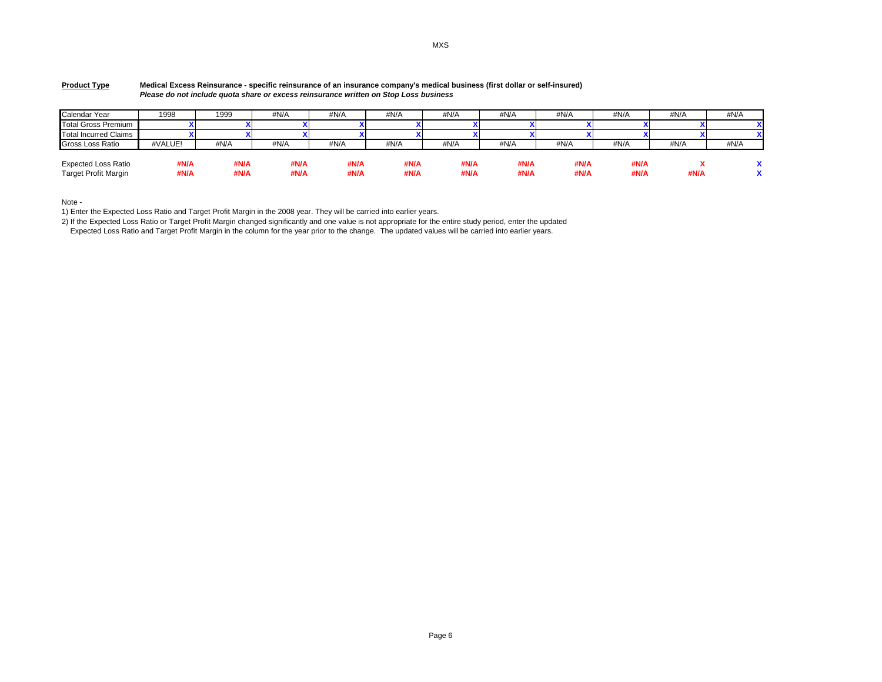| Calendar Year                                             | 1998         | 1999         | #N/A         | #N/A         | #N/A         | #N/A         | #N/A         | #N/A         | #N/A         | #N/A | #N/A |
|-----------------------------------------------------------|--------------|--------------|--------------|--------------|--------------|--------------|--------------|--------------|--------------|------|------|
| <b>Total Gross Premium</b>                                |              |              |              |              |              |              |              |              |              |      |      |
| <b>Total Incurred Claims</b>                              |              |              |              |              |              |              |              |              |              |      |      |
| Gross Loss Ratio                                          | #VALUE!      | #N/A         | #N/A         | #N/A         | #N/A         | #N/A         | #N/A         | #N/A         | #N/A         | #N/A | #N/A |
| <b>Expected Loss Ratio</b><br><b>Target Profit Margin</b> | #N/A<br>#N/A | #N/A<br>#N/A | #N/A<br>#N/A | #N/A<br>#N/A | #N/A<br>#N/A | #N/A<br>#N/A | #N/A<br>#N/A | #N/A<br>#N/A | #N/A<br>#N/A | #N/A |      |

#### **Product Type Medical Excess Reinsurance - specific reinsurance of an insurance company's medical business (first dollar or self-insured) Please do not include quota share or excess reinsurance written on Stop Loss business**

Note -

1) Enter the Expected Loss Ratio and Target Profit Margin in the 2008 year. They will be carried into earlier years.

2) If the Expected Loss Ratio or Target Profit Margin changed significantly and one value is not appropriate for the entire study period, enter the updated

Expected Loss Ratio and Target Profit Margin in the column for the year prior to the change. The updated values will be carried into earlier years.

MXS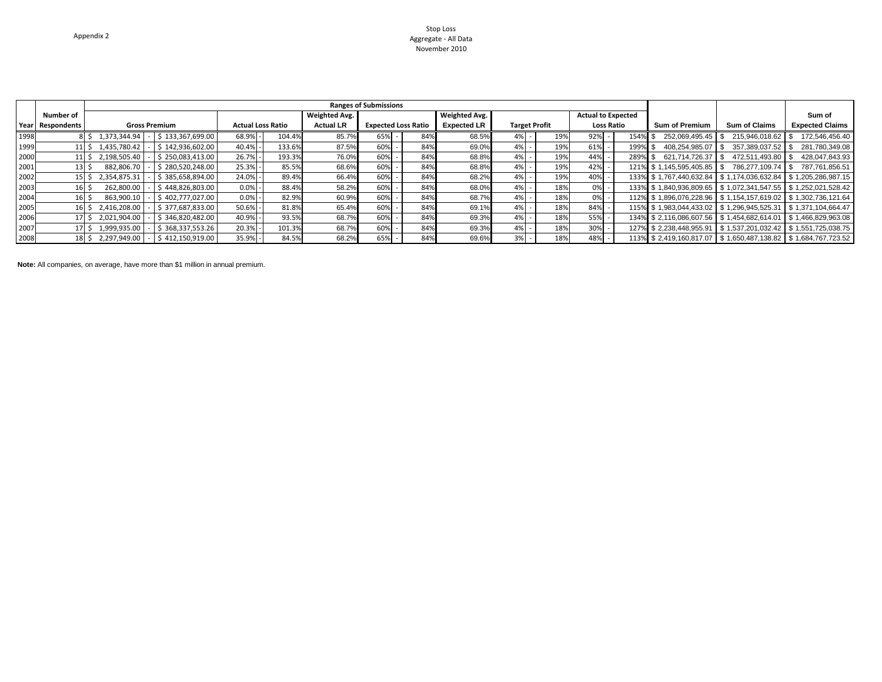### Stop Loss Aggregate - All DataNovember 2010

|      |                  |                                        |                          |                      | <b>Ranges of Submissions</b> |     |                      |                      |     |                           |         |                                                               |                      |                        |
|------|------------------|----------------------------------------|--------------------------|----------------------|------------------------------|-----|----------------------|----------------------|-----|---------------------------|---------|---------------------------------------------------------------|----------------------|------------------------|
|      | Number of        |                                        |                          | <b>Weighted Avg.</b> |                              |     | <b>Weighted Avg.</b> |                      |     | <b>Actual to Expected</b> |         |                                                               |                      | Sum of                 |
|      | Year Respondents | <b>Gross Premium</b>                   | <b>Actual Loss Ratio</b> | <b>Actual LR</b>     | <b>Expected Loss Ratio</b>   |     | <b>Expected LR</b>   | <b>Target Profit</b> |     | <b>Loss Ratio</b>         |         | <b>Sum of Premium</b>                                         | <b>Sum of Claims</b> | <b>Expected Claims</b> |
| 1998 |                  | \$133.367.699.00<br>8 \$ 1,373,344.94  | 68.9%<br>104.4%          | 85.7%                | 65%                          | 84% | 68.5%                |                      | 19% | 92%                       | 154% \$ | 252.069.495.45 \$                                             | 215.946.018.62       | 172.546.456.40         |
| 1999 |                  | \$142.936.602.00<br>11 \$ 1,435,780.42 | 133.6%<br>40.4%          | 87.5%                | 60%                          | 84% | 69.0%                | 4%                   | 19% | 61%                       | 199% \$ | 408.254.985.07 \$                                             | 357.389.037.52       | 281,780,349.08         |
| 2000 |                  | \$250.083.413.00<br>11 \$ 2,198,505.40 | 26.7%<br>193.3%          | 76.0%                | 60%                          | 84% | 68.8%                | 4%                   | 19% | 44%                       | 289% \$ | 621.714.726.37 IS                                             | 472.511.493.80       | 428.047.843.93         |
| 2001 |                  | \$280.520.248.00<br>882.806.70         | 25.3%<br>85.5%           | 68.6%                | 60%                          | 849 | 68.8%                |                      | 19% | 42%                       |         | 121% \$1,145,595,405.85 \$                                    | 786.277.109.74 \$    | 787.761.856.51         |
| 2002 |                  | \$385.658.894.00<br>2,354,875.31       | 24.0%<br>89.4%           | 66.4%                | 60%                          | 84% | 68.2%                |                      | 19% | 40%                       |         | 133% \$1,767,440,632.84 \$1,174,036,632.84 \$1,205,286,987.15 |                      |                        |
| 2003 |                  | \$448.826.803.00<br>262.800.00         | 0.0%<br>88.4%            | 58.2%                | 60%                          | 849 | 68.0%                | 4%                   | 18% | 0%                        |         | 133% \$1,840,936,809.65 \$1,072,341,547.55 \$1,252,021,528.42 |                      |                        |
| 2004 | 16               | \$402.777.027.00<br>863.900.10         | 0.0%<br>82.9%            | 60.9%                | 60%                          | 84% | 68.7%                | 4%                   | 18% | 0%                        |         | 112% \$1,896,076,228.96 \$1,154,157,619.02 \$1,302,736,121.64 |                      |                        |
| 2005 | 16 I             | \$377,687,833.00<br>2,416,208.00       | 50.6%<br>81.8%           | 65.4%                | 60%                          | 84% | 69.1%                |                      | 18% | 84%                       |         | 115% \$1,983,044,433.02 \$1,296,945,525.31 \$1,371,104,664.47 |                      |                        |
| 2006 |                  | \$346.820.482.00<br>17 \$ 2.021.904.00 | 40.9%<br>93.5%           | 68.7%                | 60%                          | 84% | 69.3%                |                      | 18% | 55%                       |         | 134% \$2,116,086,607.56 \$1,454,682,614.01 \$1,466,829,963.08 |                      |                        |
| 2007 |                  | \$368.337.553.26<br>1,999,935.00       | 20.3%<br>101.3%          | 68.7%                | 60%                          | 84% | 69.3%                |                      | 18% | 30%                       |         | 127% \$2,238,448,955.91 \$1,537,201,032.42 \$1,551,725,038.75 |                      |                        |
| 2008 |                  | \$ 2,297,949.00<br>\$412.150.919.00    | 84.5%<br>35.9%           | 68.2%                | 65%                          | 84% | 69.6%                |                      | 18% | 48%                       |         | 113% \$2.419.160.817.07 \$1.650.487.138.82 \$1.684.767.723.52 |                      |                        |

**Note:** All companies, on average, have more than \$1 million in annual premium.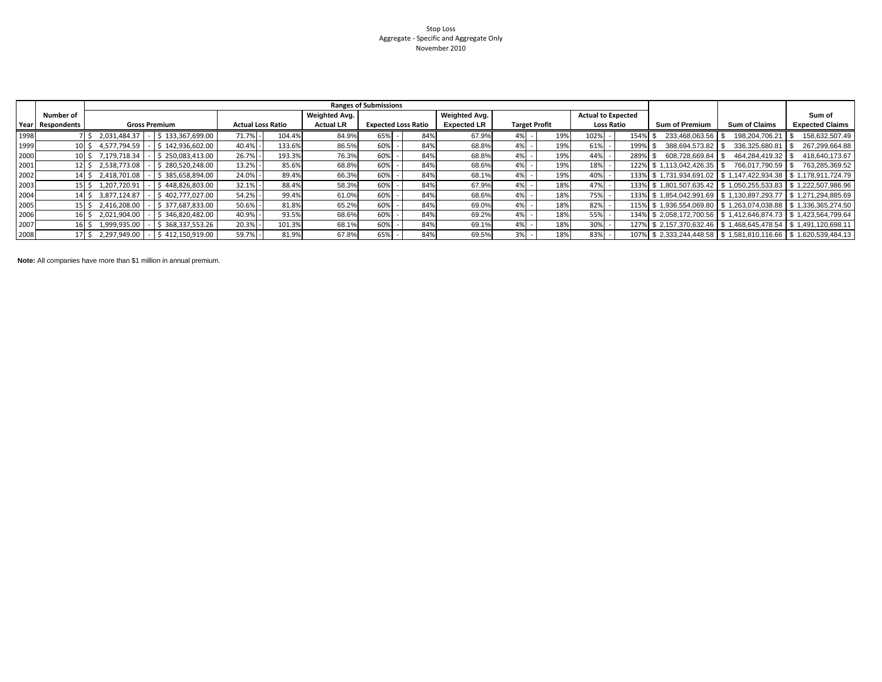## Stop Loss Aggregate - Specific and Aggregate Only November 2010

|      |                  |                                        |                          |                  | <b>Ranges of Submissions</b> |     |                    |                      |     |                           |         |                            |                      |                                                               |
|------|------------------|----------------------------------------|--------------------------|------------------|------------------------------|-----|--------------------|----------------------|-----|---------------------------|---------|----------------------------|----------------------|---------------------------------------------------------------|
|      | Number of        |                                        |                          | Weighted Avg.    |                              |     | Weighted Avg.      |                      |     | <b>Actual to Expected</b> |         |                            |                      | Sum of                                                        |
|      | Year Respondents | <b>Gross Premium</b>                   | <b>Actual Loss Ratio</b> | <b>Actual LR</b> | <b>Expected Loss Ratio</b>   |     | <b>Expected LR</b> | <b>Target Profit</b> |     | <b>Loss Ratio</b>         |         | <b>Sum of Premium</b>      | <b>Sum of Claims</b> | <b>Expected Claims</b>                                        |
| 1998 |                  | \$133,367,699.00<br>2,031,484.37       | 71.7%<br>104.4%          | 84.9%            | 65%                          | 84% | 67.9%              |                      | 19% | 102%                      | 154% \$ | 233.468.063.56             | 198.204.706.21       | 158,632,507.49                                                |
| 1999 | 10 <sub>5</sub>  | \$142.936.602.00<br>4,577,794.59       | 40.4%<br>133.6%          | 86.5%            | 60%                          | 84% | 68.8%              |                      | 19% | 61%                       | 199% \$ | 388.694.573.82             | 336.325.680.81       | 267,299,664.88                                                |
| 2000 |                  | 10 \$ 7.179.718.34<br>\$250.083.413.00 | 26.7%<br>193.3%          | 76.3%            | 60%                          | 84% | 68.8%              |                      | 19% | 44%                       | 289% \$ | 608.728.669.84 \$          | 464.284.419.32 \$    | 418,640,173.67                                                |
| 2001 | $12 \mid S$      | \$280.520.248.00<br>2,538,773.08       | 13.2%<br>85.6%           | 68.8%            | 60%                          | 84% | 68.6%              |                      | 19% | 18%                       |         | 122% \$1.113.042.426.35 \$ | 766.017.790.59 \$    | 763,285,369.52                                                |
| 2002 | 14 S             | \$385,658,894.00<br>2,418,701.08       | 24.0%<br>89.4%           | 66.3%            | 60%                          | 84% | 68.1%              |                      | 19% | 40%                       |         |                            |                      | 133% \$1,731,934,691.02 \$1,147,422,934.38 \$1,178,911,724.79 |
| 2003 | 15 IS            | \$448,826,803.00<br>1,207,720.91       | 32.1%<br>88.4%           | 58.3%            | 60%                          | 84% | 67.9%              |                      | 18% | 47%                       |         |                            |                      | 133% \$1,801,507,635.42 \$1,050,255,533.83 \$1,222,507,986.96 |
| 2004 | 14S              | \$402.777.027.00<br>3.877.124.87       | 54.2%<br>99.4%           | 61.0%            | 60%                          | 84% | 68.6%              |                      | 18% | 75%                       |         |                            |                      | 133% \$1.854.042.991.69 \$1.130.897.293.77 \$1.271.294.885.69 |
| 2005 | 15 <sup>5</sup>  | \$377,687,833.00<br>2,416,208.00       | 50.6%<br>81.8%           | 65.2%            | 60%                          | 84% | 69.0%              |                      | 18% | 82%                       |         |                            |                      | 115% \$1,936,554,069.80 \$1,263,074,038.88 \$1,336,365,274.50 |
| 2006 | 16 S             | \$346.820.482.00<br>2,021,904.00       | 40.9%<br>93.5%           | 68.6%            | 60%                          | 84% | 69.2%              |                      | 18% | 55%                       |         |                            |                      | 134% \$2.058.172.700.56 \$1.412.646.874.73 \$1.423.564.799.64 |
| 2007 | 16 S             | \$368,337,553.26<br>1,999,935.00       | 20.3%<br>101.3%          | 68.1%            | 60%                          | 84% | 69.19              |                      | 18% | 30%                       |         |                            |                      | 127% \$2,157,370,632.46 \$1,468,645,478.54 \$1,491,120,698.11 |
| 2008 | 17S              | 2,297,949.00<br>\$412.150.919.00       | 59.7%<br>81.9%           | 67.8%            | 65%                          | 84% | 69.5%              |                      | 18% | 83%                       |         |                            |                      | 107% \$2,333,244,448.58 \$1,581,810,116.66 \$1,620,539,484.13 |

**Note:** All companies have more than \$1 million in annual premium.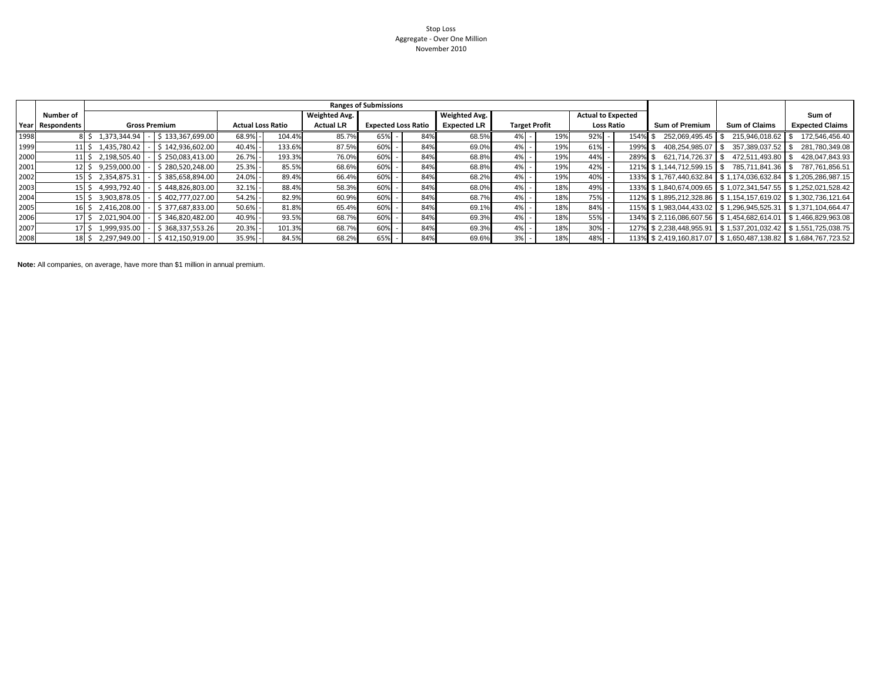### Stop Loss Aggregate - Over One MillionNovember 2010

|      |                  |                                        |                          |                      | <b>Ranges of Submissions</b> |     |                    |    |                      |                           |         |                            |                                                               |                                                               |
|------|------------------|----------------------------------------|--------------------------|----------------------|------------------------------|-----|--------------------|----|----------------------|---------------------------|---------|----------------------------|---------------------------------------------------------------|---------------------------------------------------------------|
|      | Number of        |                                        |                          | <b>Weighted Avg.</b> |                              |     | Weighted Avg.      |    |                      | <b>Actual to Expected</b> |         |                            |                                                               | Sum of                                                        |
|      | Year Respondents | <b>Gross Premium</b>                   | <b>Actual Loss Ratio</b> | <b>Actual LR</b>     | <b>Expected Loss Ratio</b>   |     | <b>Expected LR</b> |    | <b>Target Profit</b> | <b>Loss Ratio</b>         |         | <b>Sum of Premium</b>      | <b>Sum of Claims</b>                                          | <b>Expected Claims</b>                                        |
| 1998 |                  | \$133,367,699.00<br>8 \$ 1,373,344.94  | 68.9%<br>104.4%          | 85.7%                | 65%                          | 84% | 68.5%              | 4% | 19%                  | 92%                       | 154% \$ | 252.069.495.45             | 215.946.018.62                                                | 172.546.456.40                                                |
| 1999 |                  | \$142.936.602.00<br>11 \$ 1.435.780.42 | 133.6%<br>40.4%          | 87.5%                | 60%                          | 84% | 69.0%              | 4% | 19%                  | 61%                       | 199% \$ | 408.254.985.07             | 357.389.037.52                                                | 281.780.349.08                                                |
| 2000 |                  | \$250.083.413.00<br>11 \$ 2.198.505.40 | 193.3%<br>26.7%          | 76.0%                | 60%                          | 84% | 68.8%              | 4% | 19%                  | 44%                       | 289% \$ | 621.714.726.37 S           | 472.511.493.80 ▌\$                                            | 428.047.843.93                                                |
| 2001 |                  | \$280,520,248.00<br>12 \$ 9,259,000.00 | 25.3%<br>85.5%           | 68.6%                | 60%                          | 84% | 68.8%              | 4% | 19%                  | 42%                       |         | 121% \$1.144.712.599.15 \$ | 785,711,841.36 \$                                             | 787.761.856.51                                                |
| 2002 | 15.              | \$385.658.894.00<br>2.354.875.31       | 24.0%<br>89.4%           | 66.4%                | 60%                          | 84% | 68.2%              | 4% | 19%                  | 40%                       |         |                            | 133% \$1.767.440.632.84 \$1.174.036.632.84 \$1.205.286.987.15 |                                                               |
| 2003 |                  | \$448,826,803.00<br>15 \$ 4,993,792.40 | 32.1%<br>88.4%           | 58.3%                | 60%                          | 84% | 68.0%              | 4% | 18%                  | 49%                       |         |                            |                                                               | 133% \$1,840,674,009.65 \$1,072,341,547.55 \$1,252,021,528.42 |
| 2004 | 15               | 3.903.878.05<br>\$402.777.027.00       | 54.2%<br>82.9%           | 60.9%                | 60%                          | 84% | 68.7%              | 4% | 18%                  | 75%                       |         |                            | 112% \$1,895,212,328.86 \$1,154,157,619.02 \$1,302,736,121.64 |                                                               |
| 2005 |                  | \$377.687.833.00<br>16 \$2.416.208.00  | 50.6%<br>81.8%           | 65.4%                | 60%                          | 84% | 69.1%              | 4% | 18%                  | 84%                       |         |                            |                                                               | 115% \$1,983,044,433.02 \$1,296,945,525.31 \$1,371,104,664.47 |
| 2006 |                  | \$346.820.482.00<br>17 \$ 2,021,904.00 | 40.9%<br>93.5%           | 68.7%                | 60%                          | 84% | 69.3%              | 4% | 18%                  | 55%                       |         |                            | 134% \$2,116,086,607.56 \$1,454,682,614.01 \$1,466,829,963.08 |                                                               |
| 2007 |                  | \$368,337,553.26<br>1,999,935.00       | 20.3%<br>101.3%          | 68.7%                | 60%                          | 84% | 69.3%              | 4% | 18%                  | 30%                       |         |                            | 127% \$2,238,448,955.91 \$1,537,201,032.42 \$1,551,725,038.75 |                                                               |
| 2008 |                  | 18 \$ 2,297,949.00<br>\$412.150.919.00 | 35.9%<br>84.5%           | 68.2%                | 65%                          | 84% | 69.6%              |    | 18%                  | 48%                       |         |                            | 113% \$2.419.160.817.07 \$1.650.487.138.82 \$1.684.767.723.52 |                                                               |

**Note:** All companies, on average, have more than \$1 million in annual premium.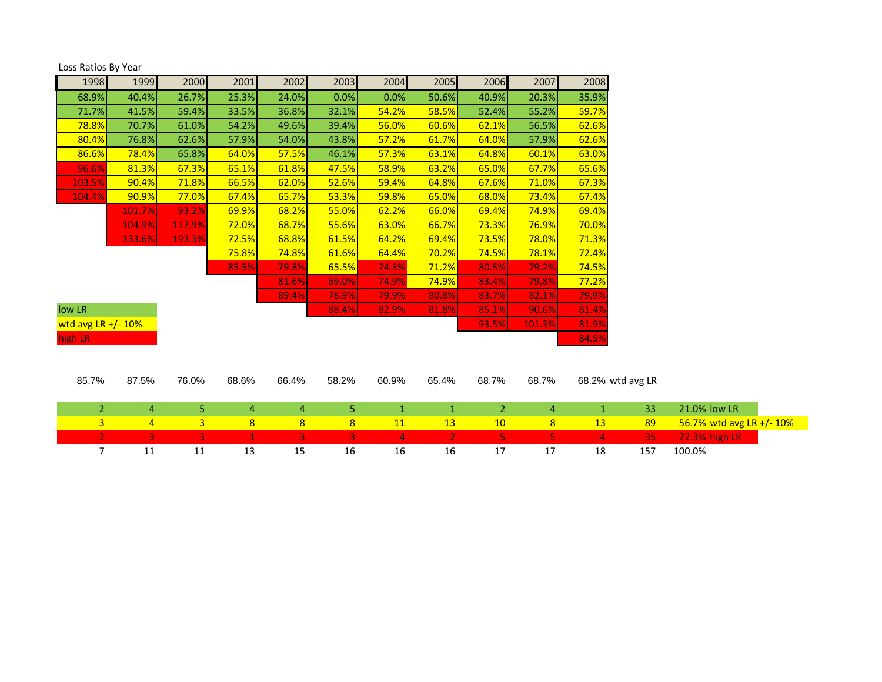| Loss Ratios By Year   |                |                |                |                |                |                |                |                |                |              |                  |                          |  |
|-----------------------|----------------|----------------|----------------|----------------|----------------|----------------|----------------|----------------|----------------|--------------|------------------|--------------------------|--|
| 1998                  | 1999           | 2000           | 2001           | 2002           | 2003           | 2004           | 2005           | 2006           | 2007           | 2008         |                  |                          |  |
| 68.9%                 | 40.4%          | 26.7%          | 25.3%          | 24.0%          | 0.0%           | 0.0%           | 50.6%          | 40.9%          | 20.3%          | 35.9%        |                  |                          |  |
| 71.7%                 | 41.5%          | 59.4%          | 33.5%          | 36.8%          | 32.1%          | 54.2%          | 58.5%          | 52.4%          | 55.2%          | 59.7%        |                  |                          |  |
| 78.8%                 | 70.7%          | 61.0%          | 54.2%          | 49.6%          | 39.4%          | 56.0%          | 60.6%          | 62.1%          | 56.5%          | 62.6%        |                  |                          |  |
| 80.4%                 | 76.8%          | 62.6%          | 57.9%          | 54.0%          | 43.8%          | 57.2%          | 61.7%          | 64.0%          | 57.9%          | 62.6%        |                  |                          |  |
| 86.6%                 | 78.4%          | 65.8%          | 64.0%          | 57.5%          | 46.1%          | 57.3%          | 63.1%          | 64.8%          | 60.1%          | 63.0%        |                  |                          |  |
| 96.6%                 | 81.3%          | 67.3%          | 65.1%          | 61.8%          | 47.5%          | 58.9%          | 63.2%          | 65.0%          | 67.7%          | 65.6%        |                  |                          |  |
| 103.5%                | 90.4%          | 71.8%          | 66.5%          | 62.0%          | 52.6%          | 59.4%          | 64.8%          | 67.6%          | 71.0%          | 67.3%        |                  |                          |  |
| 104.4%                | 90.9%          | 77.0%          | 67.4%          | 65.7%          | 53.3%          | 59.8%          | 65.0%          | 68.0%          | 73.4%          | 67.4%        |                  |                          |  |
|                       | 101.7%         | 93.2%          | 69.9%          | 68.2%          | 55.0%          | 62.2%          | 66.0%          | 69.4%          | 74.9%          | 69.4%        |                  |                          |  |
|                       | 104.9%         | 117.9%         | 72.0%          | 68.7%          | 55.6%          | 63.0%          | 66.7%          | 73.3%          | 76.9%          | 70.0%        |                  |                          |  |
|                       | 133.6%         | 193.3%         | 72.5%          | 68.8%          | 61.5%          | 64.2%          | 69.4%          | 73.5%          | 78.0%          | 71.3%        |                  |                          |  |
|                       |                |                | 75.8%          | 74.8%          | 61.6%          | 64.4%          | 70.2%          | 74.5%          | 78.1%          | 72.4%        |                  |                          |  |
|                       |                |                | 85.5%          | 79.8%          | 65.5%          | 74.3%          | 71.2%          | 80.5%          | 79.2%          | 74.5%        |                  |                          |  |
|                       |                |                |                | 81.6%          | 69.0%          | 74.9%          | 74.9%          | 83.4%          | 79.8%          | 77.2%        |                  |                          |  |
|                       |                |                |                | 89.4%          | 78.9%          | 79.9%          | 80.8%          | 83.7%          | 82.1%          | 79.9%        |                  |                          |  |
| low LR                |                |                |                |                | 88.4%          | 82.9%          | 81.8%          | 85.1%          | 90.6%          | 81.4%        |                  |                          |  |
| wtd avg LR $+/- 10\%$ |                |                |                |                |                |                |                | 93.5%          | 101.3%         | 81.9%        |                  |                          |  |
| high LR               |                |                |                |                |                |                |                |                |                | 84.5%        |                  |                          |  |
|                       |                |                |                |                |                |                |                |                |                |              |                  |                          |  |
|                       |                |                |                |                |                |                |                |                |                |              |                  |                          |  |
| 85.7%                 | 87.5%          | 76.0%          | 68.6%          | 66.4%          | 58.2%          | 60.9%          | 65.4%          | 68.7%          | 68.7%          |              | 68.2% wtd avg LR |                          |  |
|                       |                |                |                |                |                |                |                |                |                |              |                  |                          |  |
| $\overline{2}$        | 4              | 5              | $\overline{4}$ | $\overline{4}$ | 5              | $1\,$          | $\mathbf{1}$   | $\overline{2}$ | 4              | $\mathbf{1}$ | 33               | 21.0% low LR             |  |
| $\overline{3}$        | $\overline{4}$ | $\overline{3}$ | 8              | 8              | 8              | 11             | 13             | 10             | $\overline{8}$ | 13           | 89               | 56.7% wtd avg LR +/- 10% |  |
| $\overline{2}$        | 3              | 3              | $\mathbf{1}$   | $\overline{3}$ | $\overline{3}$ | $\overline{4}$ | $\overline{2}$ | 5              | 5.             | 4            | 35               | <b>22.3% high LR</b>     |  |
| $\overline{7}$        | 11             | 11             | 13             | 15             | 16             | 16             | 16             | 17             | 17             | 18           | 157              | 100.0%                   |  |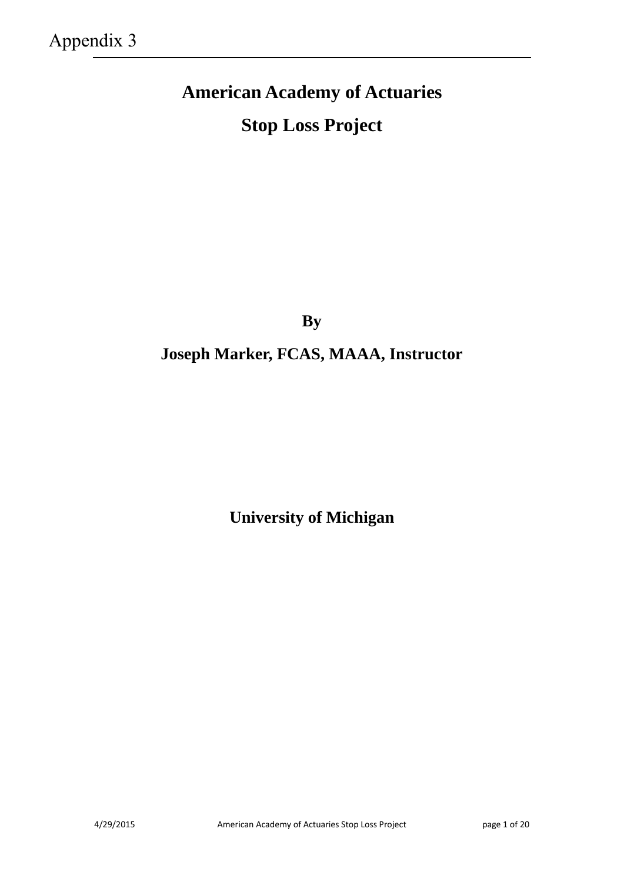# **American Academy of Actuaries Stop Loss Project**

**By** 

## **Joseph Marker, FCAS, MAAA, Instructor**

**University of Michigan**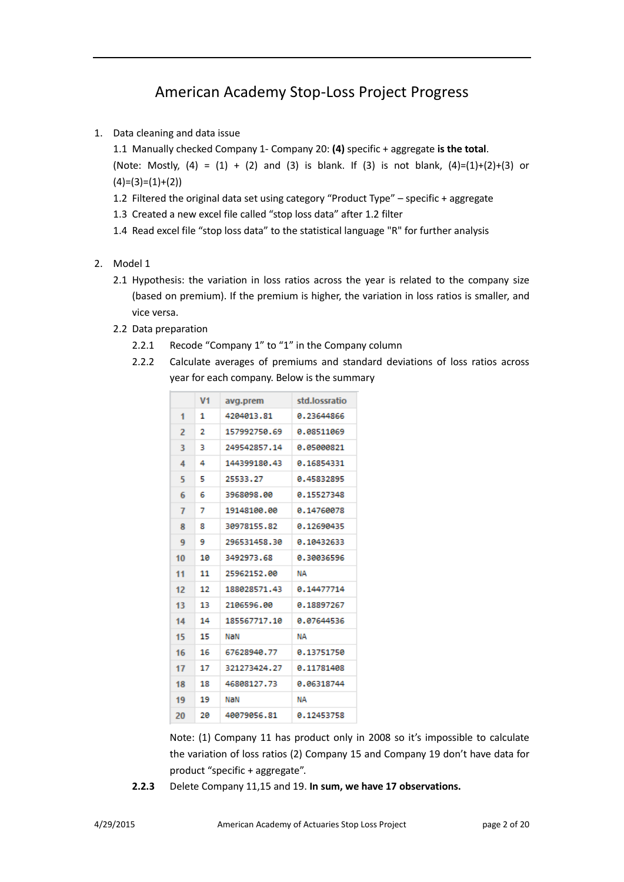## American Academy Stop-Loss Project Progress

1. Data cleaning and data issue

1.1 Manually checked Company 1- Company 20: **(4)** specific + aggregate **is the total**. (Note: Mostly,  $(4) = (1) + (2)$  and  $(3)$  is blank. If  $(3)$  is not blank,  $(4)=(1)+(2)+(3)$  or  $(4)=(3)=(1)+(2)$ 

- 1.2 Filtered the original data set using category "Product Type" specific + aggregate
- 1.3 Created a new excel file called "stop loss data" after 1.2 filter
- 1.4 Read excel file "stop loss data" to the statistical language "R" for further analysis
- 2. Model 1
	- 2.1 Hypothesis: the variation in loss ratios across the year is related to the company size (based on premium). If the premium is higher, the variation in loss ratios is smaller, and vice versa.
	- 2.2 Data preparation
		- 2.2.1 Recode "Company 1" to "1" in the Company column
		- 2.2.2 Calculate averages of premiums and standard deviations of loss ratios across year for each company. Below is the summary

|                | V <sub>1</sub> | avg.prem     | std.lossratio |
|----------------|----------------|--------------|---------------|
| 1              | 1              | 4204013.81   | 0.23644866    |
| $\overline{z}$ | 2              | 157992750.69 | 0.08511069    |
| 3              | з              | 249542857.14 | 0.05000821    |
| 4              | 4              | 144399180.43 | 0.16854331    |
| 5              | 5              | 25533.27     | 0.45832895    |
| 6              | 6              | 3968098.00   | 0.15527348    |
| 7              | 7              | 19148100.00  | 9.14769978    |
| 8              | я              | 30978155.82  | 0.12690435    |
| 9              | 9              | 296531458.30 | 0.10432633    |
| 10             | 10             | 3492973.68   | 0.30036596    |
| 11             | 11             | 25962152.00  | NΑ            |
| 12             | 12             | 188028571.43 | 0.14477714    |
| 13             | 13             | 2106596.00   | 0.18897267    |
| 14             | 14             | 185567717.10 | 0.07644536    |
| 15             | 15             | NaN          | NΑ            |
| 16             | 16             | 67628940.77  | 0.13751750    |
| 17             | 17             | 321273424.27 | 0.11781408    |
| 18             | 18             | 46808127.73  | 0.06318744    |
| 19             | 19             | NaN          | ΝA            |
| 20             | 20             | 40079056.81  | 0.12453758    |

Note: (1) Company 11 has product only in 2008 so it's impossible to calculate the variation of loss ratios (2) Company 15 and Company 19 don't have data for product "specific + aggregate".

**2.2.3** Delete Company 11,15 and 19. **In sum, we have 17 observations.**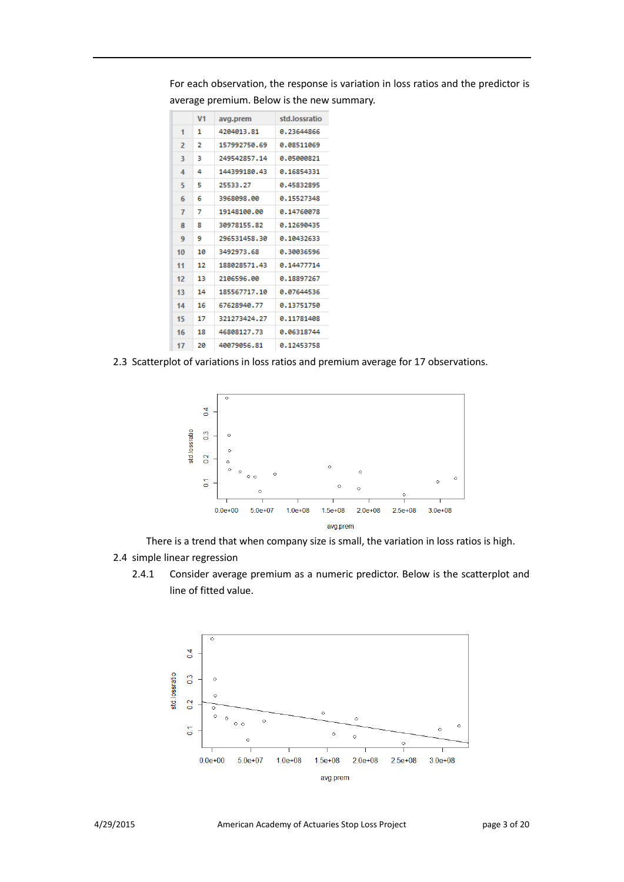For each observation, the response is variation in loss ratios and the predictor is average premium. Below is the new summary.

|    | V <sub>1</sub> | avg.prem     | std.lossratio |
|----|----------------|--------------|---------------|
| 1  | 1              | 4204013.81   | 0.23644866    |
| 2  | 2              | 157992750.69 | 0.08511069    |
| 3  | з              | 249542857.14 | 0.05000821    |
| 4  | 4              | 144399180.43 | 0.16854331    |
| 5  | 5              | 25533,27     | 0.45832895    |
| 6  | б              | 3968098.00   | 0.15527348    |
| 7  | 7              | 19148100.00  | 0.14760078    |
| 8  | 8              | 30978155.82  | 0.12690435    |
| 9  | 9              | 296531458.30 | 0.10432633    |
| 10 | 10             | 3492973.68   | 8.38836596    |
| 11 | 12             | 188028571.43 | 0.14477714    |
| 12 | 13             | 2106596.00   | 0.18897267    |
| 13 | 14             | 185567717.10 | 0.07644536    |
| 14 | 16             | 67628940.77  | 0.13751750    |
| 15 | 17             | 321273424.27 | 0.11781408    |
| 16 | 18             | 46808127.73  | 0.06318744    |
| 17 | 20             | 40079056.81  | 0.12453758    |

2.3 Scatterplot of variations in loss ratios and premium average for 17 observations.



There is a trend that when company size is small, the variation in loss ratios is high. 2.4 simple linear regression

2.4.1 Consider average premium as a numeric predictor. Below is the scatterplot and line of fitted value.

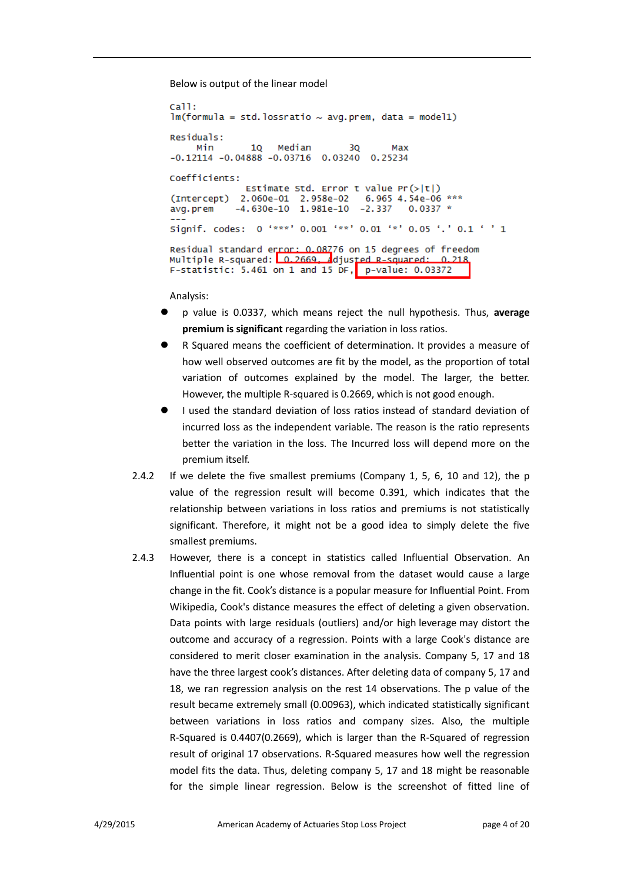Below is output of the linear model

```
call:
lm(formula = std. lossratio ~ wq. prem, data = model1)Residuals:
                      Median
     Min
                 10<sup>1</sup>30
                                               Max
-0.12114 - 0.04888 - 0.03716 0.03240 0.25234
Coefficients:
                Estimate Std. Error t value Pr(>|t|)6.965 4.54e-06 ***
(Intercept) 2.060e-01 2.958e-02
avg.prem
              -4.630e-10 1.981e-10 -2.337
                                                   0.0337 *Signif. codes: 0 '***' 0.001 '**' 0.01 '*' 0.05 '.' 0.1 ' ' 1
Residual standard error: 0.08776 on 15 degrees of freedom<br>Multiple R-squared: 0.2669. \frac{1}{2}djusted R-squared: 0.218.
F-statistic: 5.461 on 1 and 15 DF, p-value: 0.03372
```
Analysis:

- p value is 0.0337, which means reject the null hypothesis. Thus, **average premium is significant** regarding the variation in loss ratios.
- R Squared means the coefficient of determination. It provides a measure of how well observed outcomes are fit by the model, as the proportion of total variation of outcomes explained by the model. The larger, the better. However, the multiple R-squared is 0.2669, which is not good enough.
- I used the standard deviation of loss ratios instead of standard deviation of incurred loss as the independent variable. The reason is the ratio represents better the variation in the loss. The Incurred loss will depend more on the premium itself.
- 2.4.2 If we delete the five smallest premiums (Company 1, 5, 6, 10 and 12), the p value of the regression result will become 0.391, which indicates that the relationship between variations in loss ratios and premiums is not statistically significant. Therefore, it might not be a good idea to simply delete the five smallest premiums.
- 2.4.3 However, there is a concept in statistics called Influential Observation. An Influential point is one whose removal from the dataset would cause a large change in the fit. Cook's distance is a popular measure for Influential Point. From Wikipedia, Cook's distance measures the effect of deleting a given observation. Data points with large residuals [\(outliers\)](http://en.wikipedia.org/wiki/Outlier) and/or high [leverage](http://en.wikipedia.org/wiki/Leverage_(statistics)) may distort the outcome and accuracy of a regression. Points with a large Cook's distance are considered to merit closer examination in the analysis. Company 5, 17 and 18 have the three largest cook's distances. After deleting data of company 5, 17 and 18, we ran regression analysis on the rest 14 observations. The p value of the result became extremely small (0.00963), which indicated statistically significant between variations in loss ratios and company sizes. Also, the multiple R-Squared is 0.4407(0.2669), which is larger than the R-Squared of regression result of original 17 observations. R-Squared measures how well the regression model fits the data. Thus, deleting company 5, 17 and 18 might be reasonable for the simple linear regression. Below is the screenshot of fitted line of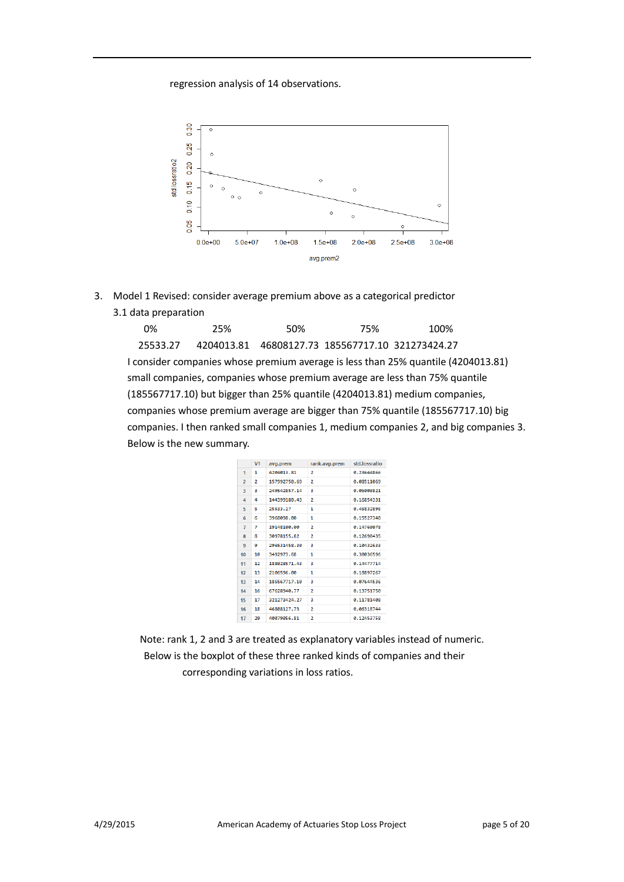## regression analysis of 14 observations.



3. Model 1 Revised: consider average premium above as a categorical predictor 3.1 data preparation

| 0%                        | 25%        | 50% | 75%                                   | 100%                                                                                 |  |
|---------------------------|------------|-----|---------------------------------------|--------------------------------------------------------------------------------------|--|
| 25533.27                  | 4204013.81 |     | 46808127.73 185567717.10 321273424.27 |                                                                                      |  |
|                           |            |     |                                       | I consider companies whose premium average is less than 25% quantile (4204013.81)    |  |
|                           |            |     |                                       | small companies, companies whose premium average are less than 75% quantile          |  |
|                           |            |     |                                       | (185567717.10) but bigger than 25% quantile (4204013.81) medium companies,           |  |
|                           |            |     |                                       | companies whose premium average are bigger than 75% quantile (185567717.10) big      |  |
|                           |            |     |                                       | companies. I then ranked small companies 1, medium companies 2, and big companies 3. |  |
| Below is the new summary. |            |     |                                       |                                                                                      |  |

|                          | V <sub>1</sub> | avg.prem     | rank.avg.prem  | std.lossratio |
|--------------------------|----------------|--------------|----------------|---------------|
| 1                        | 1              | 4204013.81   | 2              | 0.23644866    |
| $\overline{\phantom{a}}$ | $\overline{2}$ | 157992750.69 | $\overline{2}$ | 0.08511069    |
| 3                        | в              | 249542857.14 | ٩              | 8.85888821    |
| 4                        | 4              | 144399180.43 | $\overline{2}$ | 0.16854331    |
| 5                        | 5              | 25533.27     | 1              | 0.45832895    |
| 6                        | 6              | 3968098.00   | 1              | 0.15527348    |
| $\overline{7}$           | 7              | 19148100.00  | $\overline{2}$ | 0.14760078    |
| R                        | ×              | 30978155.82  | $\overline{2}$ | 0.12690435    |
| 9                        | 9              | 296531458.30 | в              | 0.10432633    |
| 10                       | 10             | 3492973.68   | 1              | 8.38836596    |
| 11                       | 12             | 188028571.43 | R              | 0.14477714    |
| 12                       | 13             | 2106596.00   | 1              | 0.18897267    |
| 13                       | 14             | 185567717.10 | з              | 8.87644536    |
| 14                       | 16             | 67628940.77  | 2              | 0.13751750    |
| 15                       | 17             | 321273424.27 | 3              | 0.11781408    |
| 16                       | 18             | 46808127.73  | $\overline{2}$ | 0.06318744    |
| 17                       | 20             | 40079056.81  | $\overline{2}$ | 0.12453758    |

Note: rank 1, 2 and 3 are treated as explanatory variables instead of numeric. Below is the boxplot of these three ranked kinds of companies and their corresponding variations in loss ratios.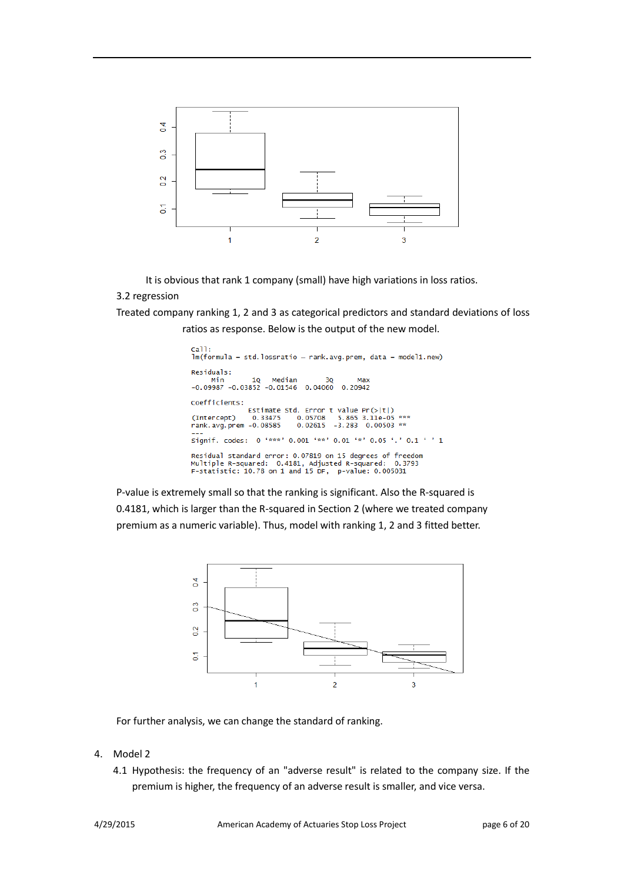

It is obvious that rank 1 company (small) have high variations in loss ratios.

## 3.2 regression

Treated company ranking 1, 2 and 3 as categorical predictors and standard deviations of loss ratios as response. Below is the output of the new model.

```
call:<br>lm(formula = std.lossratio ~ rank.avg.prem, data = model1.new)
Residuals:
                            Median
                     10<sub>1</sub>Min
                                                30
                                                           Max
-0.09987 - 0.03852 - 0.01546 0.04060 0.20942
Coefficients:
                    Estimate Std. Error t value Pr(>|t|)<br>0.33475 0.05708 5.865 3.11e-05 ***
(Intercept)
                                     0.02615 -3.283 -0.00503**
rank.avg.prem -0.08585
Signif. codes: 0 '***' 0.001 '**' 0.01 '*' 0.05 '.' 0.1 ' ' 1
Residual standard error: 0.07819 on 15 degrees of freedom<br>Multiple R-squared:  0.4181, Adjusted R-squared:  0.3793<br>F-statistic: 10.78 on 1 and 15 DF,  p-value: 0.005031
```
P-value is extremely small so that the ranking is significant. Also the R-squared is 0.4181, which is larger than the R-squared in Section 2 (where we treated company premium as a numeric variable). Thus, model with ranking 1, 2 and 3 fitted better.



For further analysis, we can change the standard of ranking.

- 4. Model 2
	- 4.1 Hypothesis: the frequency of an "adverse result" is related to the company size. If the premium is higher, the frequency of an adverse result is smaller, and vice versa.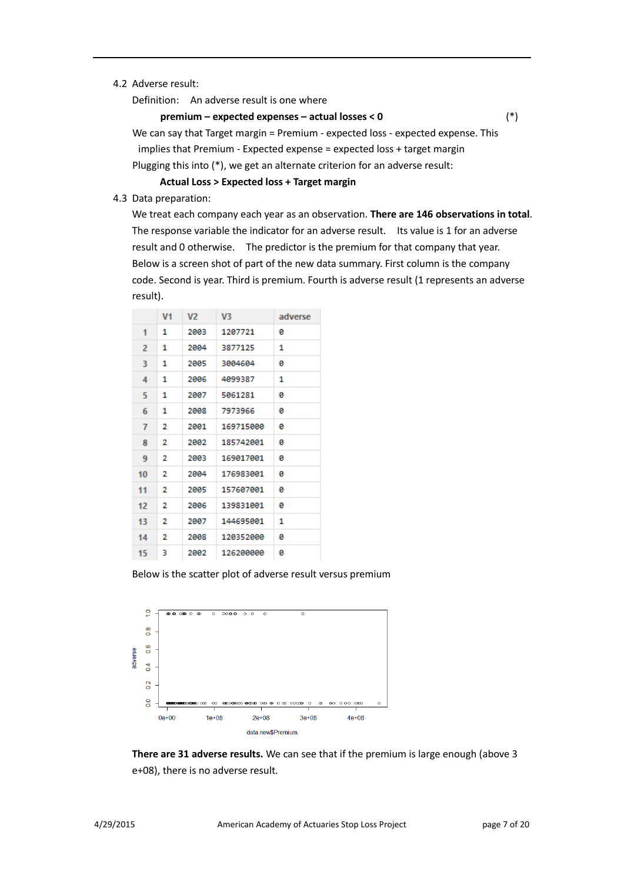## 4.2 Adverse result:

Definition: An adverse result is one where

## **premium – expected expenses – actual losses < 0** (\*)

 We can say that Target margin = Premium - expected loss - expected expense. This implies that Premium - Expected expense = expected loss + target margin Plugging this into (\*), we get an alternate criterion for an adverse result:

**Actual Loss > Expected loss + Target margin**

4.3 Data preparation:

We treat each company each year as an observation. **There are 146 observations in total**. The response variable the indicator for an adverse result. Its value is 1 for an adverse result and 0 otherwise. The predictor is the premium for that company that year. Below is a screen shot of part of the new data summary. First column is the company code. Second is year. Third is premium. Fourth is adverse result (1 represents an adverse result).

|                   | V1 | V <sub>2</sub> | V3        | adverse |
|-------------------|----|----------------|-----------|---------|
| 1                 | 1  | 2003           | 1207721   | ø       |
| $\overline{2}$    | 1  | 2004           | 3877125   | 1       |
| 3                 | 1  | 2005           | 3004604   | ø       |
| 4                 | 1  | 2006           | 4099387   | 1       |
| 5                 | 1  | 2007           | 5061281   | ø       |
| 6                 | 1  | 2008           | 7973966   | ø       |
| 7                 | 2  | 2001           | 169715000 | ø       |
| 8                 | 2  | 2002           | 185742001 | ø       |
| 9                 | 2  | 2003           | 169017001 | a       |
| 10                | 2  | 2004           | 176983001 | ø       |
| 11                | 2  | 2005           | 157607001 | ø       |
| $12 \overline{ }$ | 2  | 2006           | 139831001 | ø       |
| 13                | 2  | 2007           | 144695001 | 1       |
| 14                | 2  | 2008           | 120352000 | ø       |
| 15                | з  | 2002           | 126200000 | ø       |

Below is the scatter plot of adverse result versus premium



**There are 31 adverse results.** We can see that if the premium is large enough (above 3 e+08), there is no adverse result.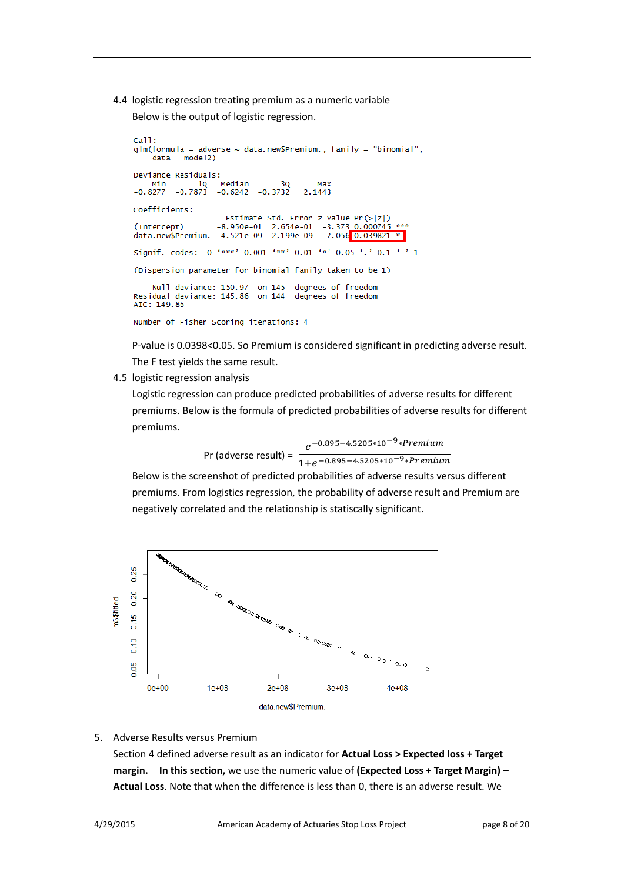4.4 logistic regression treating premium as a numeric variable

Below is the output of logistic regression.

```
cal1:
glm(formula = adverse ~ data.new5Premium., family = "binomial",
    data = model2Deviance Residuals:
                  .<br>Median
        10 Median 30<br>-0.7873 -0.6242 -0.3732
    Min
                                         Max
-0.82772.1443
Coefficients:
                    Estimate Std. Error z value Pr(>|z|)-8.950e-01 2.654e-01 -3.373 0.000745
(Intercept)
data.new$Premium. -4.521e-09 2.199e-09
                                         -2.056 0.039821
Signif. codes: 0 '***' 0.001 '**' 0.01 '*' 0.05 '.' 0.1 ' ' 1
(Dispersion parameter for binomial family taken to be 1)
    Null deviance: 150.97 on 145
                                   degrees of freedom
Residual deviance: 145.86 on 144
                                   degrees of freedom
AIC: 149.86
Number of Fisher Scoring iterations: 4
```
P-value is 0.0398<0.05. So Premium is considered significant in predicting adverse result. The F test yields the same result.

4.5 logistic regression analysis

Logistic regression can produce predicted probabilities of adverse results for different premiums. Below is the formula of predicted probabilities of adverse results for different premiums.

 Pr (adverse result) = −0.895−4.5205∗10−9∗  $1+e^{-0.895-4.5205*10^{-9}*Premium}$ 

Below is the screenshot of predicted probabilities of adverse results versus different premiums. From logistics regression, the probability of adverse result and Premium are negatively correlated and the relationship is statiscally significant.



5. Adverse Results versus Premium

Section 4 defined adverse result as an indicator for **Actual Loss > Expected loss + Target margin. In this section,** we use the numeric value of **(Expected Loss + Target Margin) – Actual Loss**. Note that when the difference is less than 0, there is an adverse result. We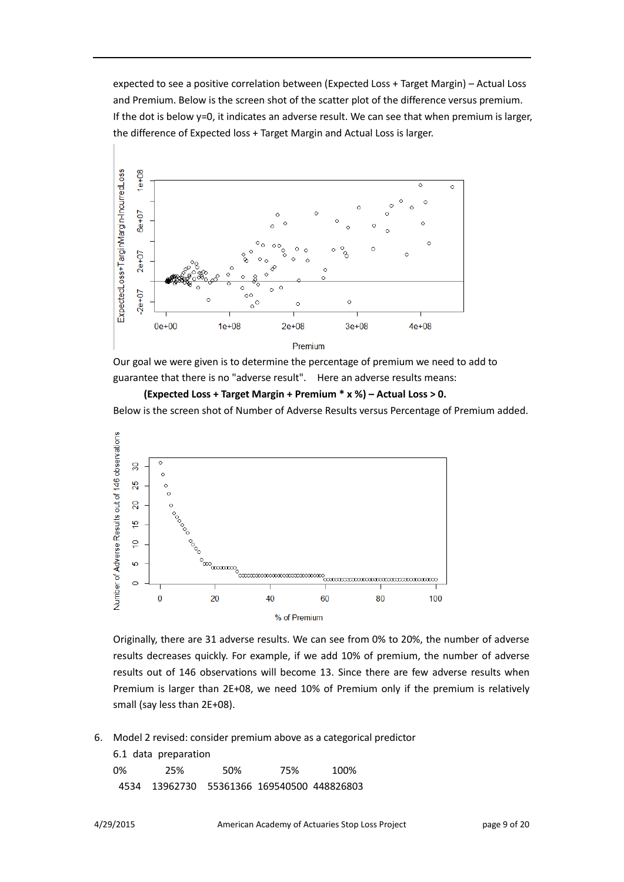expected to see a positive correlation between (Expected Loss + Target Margin) – Actual Loss and Premium. Below is the screen shot of the scatter plot of the difference versus premium. If the dot is below y=0, it indicates an adverse result. We can see that when premium is larger, the difference of Expected loss + Target Margin and Actual Loss is larger.



Our goal we were given is to determine the percentage of premium we need to add to guarantee that there is no "adverse result". Here an adverse results means:

**(Expected Loss + Target Margin + Premium \* x %) – Actual Loss > 0.** Below is the screen shot of Number of Adverse Results versus Percentage of Premium added.



Originally, there are 31 adverse results. We can see from 0% to 20%, the number of adverse results decreases quickly. For example, if we add 10% of premium, the number of adverse results out of 146 observations will become 13. Since there are few adverse results when Premium is larger than 2E+08, we need 10% of Premium only if the premium is relatively small (say less than 2E+08).

6. Model 2 revised: consider premium above as a categorical predictor

|    | 6.1 data preparation |      |                                            |      |
|----|----------------------|------|--------------------------------------------|------|
| 0% | 25%                  | .50% | 75%                                        | 100% |
|    |                      |      | 4534 13962730 55361366 169540500 448826803 |      |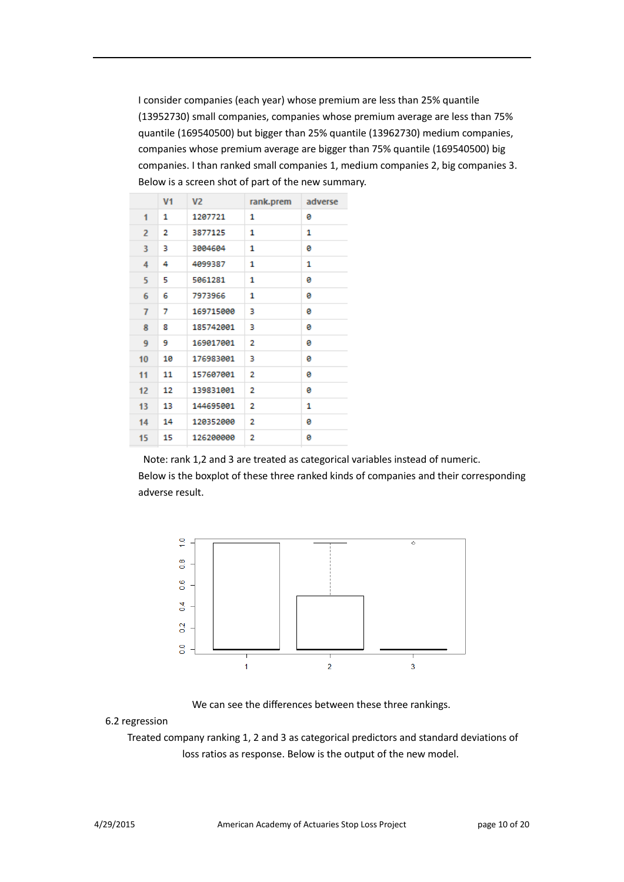I consider companies (each year) whose premium are less than 25% quantile (13952730) small companies, companies whose premium average are less than 75% quantile (169540500) but bigger than 25% quantile (13962730) medium companies, companies whose premium average are bigger than 75% quantile (169540500) big companies. I than ranked small companies 1, medium companies 2, big companies 3. Below is a screen shot of part of the new summary.

|                | V <sub>1</sub> | V <sub>2</sub> | rank.prem | adverse |
|----------------|----------------|----------------|-----------|---------|
| 1              | 1              | 1207721        | 1         | ø       |
| $\overline{2}$ | 2              | 3877125        | 1         | 1       |
| 3              | з              | 3004604        | 1         | ø       |
| 4              | 4              | 4099387        | 1         | 1       |
| 5              | 5              | 5061281        | 1         | ø       |
| 6              | 6              | 7973966        | 1         | ø       |
| 7              | 7              | 169715000      | з         | ø       |
| 8              | 8              | 185742001      | з         | ø       |
| 9              | 9              | 169017001      | 2         | ø       |
| 10             | 10             | 176983001      | з         | ø       |
| 11             | 11             | 157607001      | 2         | ø       |
| 12             | 12             | 139831001      | 2         | ø       |
| 13             | 13             | 144695001      | 2         | 1       |
| 14             | 14             | 120352000      | 2         | ø       |
| 15             | 15             | 126200000      | 2         | ø       |

Note: rank 1,2 and 3 are treated as categorical variables instead of numeric. Below is the boxplot of these three ranked kinds of companies and their corresponding adverse result.



We can see the differences between these three rankings.

## 6.2 regression

 Treated company ranking 1, 2 and 3 as categorical predictors and standard deviations of loss ratios as response. Below is the output of the new model.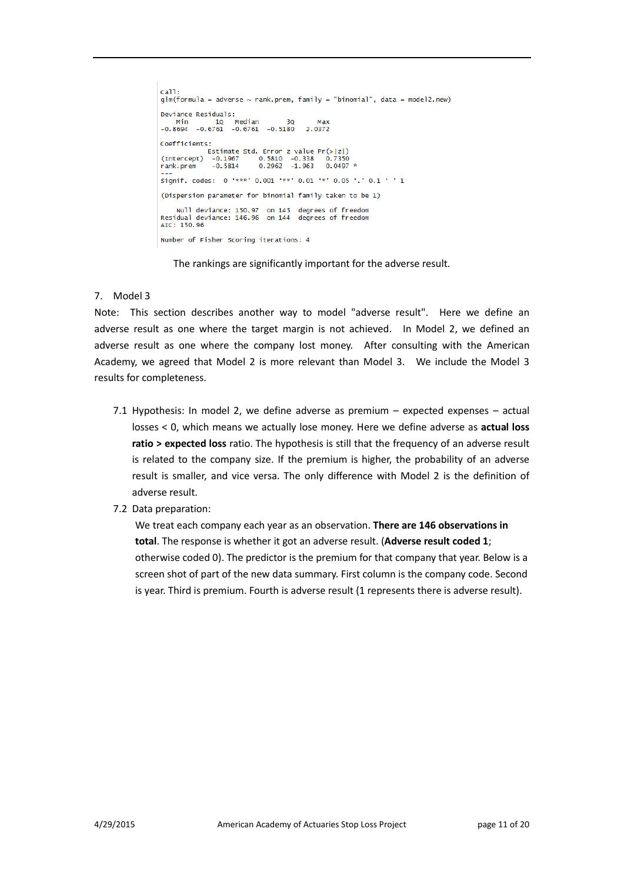```
cal1:
glm(formula = adverse ~ rank.prem, family = "binomial", data = model2.new)
Deviance Residuals:
Neviance Residuals.<br>
Min 10 Median 30 Max<br>
-0.8694 -0.6761 -0.6761 -0.5180 2.0372
Coefficients:
CONFINITIONS.<br>
Estimate Std. Error z value Pr(>|z|)<br>
(Intercept) -0.1967 0.5810 -0.338 0.7350<br>
rank.prem -0.5814 0.2962 -1.963 0.0497 *
Signif. codes: 0 '***' 0.001 '**' 0.01 '*' 0.05 '.' 0.1 ' ' 1
(Dispersion parameter for binomial family taken to be 1)
Null deviance: 150.97 on 145 degrees of freedom<br>Residual deviance: 146.96 on 144 degrees of freedom<br>AIC: 150.96
Number of Fisher Scoring iterations: 4
```
The rankings are significantly important for the adverse result.

## 7. Model 3

Note: This section describes another way to model "adverse result". Here we define an adverse result as one where the target margin is not achieved. In Model 2, we defined an adverse result as one where the company lost money. After consulting with the American Academy, we agreed that Model 2 is more relevant than Model 3. We include the Model 3 results for completeness.

- 7.1 Hypothesis: In model 2, we define adverse as premium expected expenses actual losses < 0, which means we actually lose money. Here we define adverse as **actual loss ratio > expected loss** ratio. The hypothesis is still that the frequency of an adverse result is related to the company size. If the premium is higher, the probability of an adverse result is smaller, and vice versa. The only difference with Model 2 is the definition of adverse result.
- 7.2 Data preparation:

We treat each company each year as an observation. **There are 146 observations in total**. The response is whether it got an adverse result. (**Adverse result coded 1**; otherwise coded 0). The predictor is the premium for that company that year. Below is a screen shot of part of the new data summary. First column is the company code. Second is year. Third is premium. Fourth is adverse result (1 represents there is adverse result).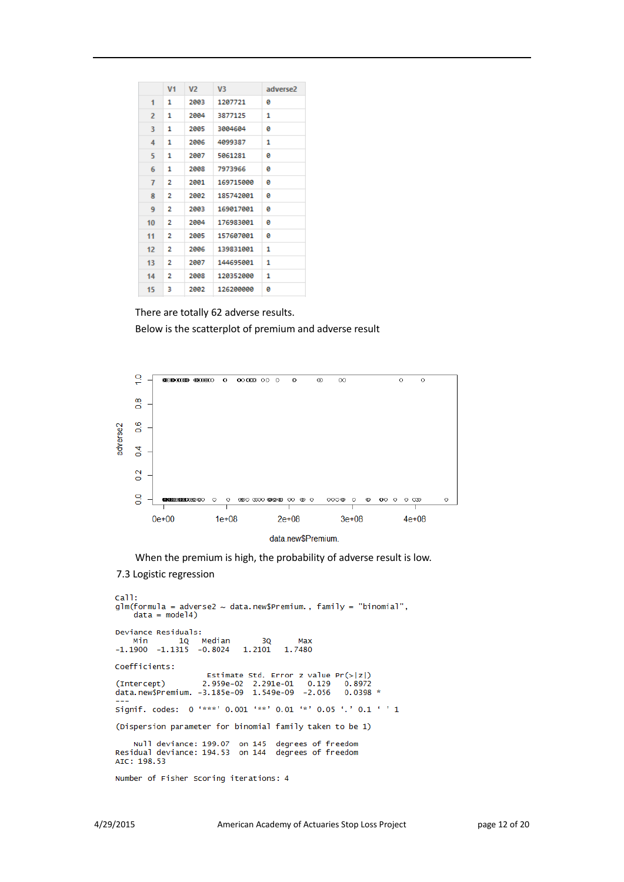|    | V <sub>1</sub> | V <sub>2</sub> | V <sub>3</sub> | adverse2 |
|----|----------------|----------------|----------------|----------|
| 1  | 1              | 2003           | 1207721        | ø        |
| 2  | 1              | 2004           | 3877125        | 1        |
| з  | 1              | 2005           | 3004604        | ø        |
| 4  | 1              | 2006           | 4099387        | 1        |
| 5  | 1              | 2007           | 5061281        | ø        |
| 6  | 1              | 2008           | 7973966        | ø        |
| 7  | 2              | 2001           | 169715000      | ø        |
| 8  | 2              | 2002           | 185742001      | ø        |
| 9  | 2              | 2003           | 169017001      | ø        |
| 10 | 2              | 2004           | 176983001      | a        |
| 11 | 2              | 2005           | 157607001      | ø        |
| 12 | 2              | 2006           | 139831001      | 1        |
| 13 | 2              | 2007           | 144695001      | 1        |
| 14 | 2              | 2008           | 120352000      | 1        |
| 15 | з              | 2002           | 126200000      | ø        |

There are totally 62 adverse results. Below is the scatterplot of premium and adverse result



When the premium is high, the probability of adverse result is low.

## 7.3 Logistic regression

```
cal1:
glm(formula = adverse2 ~ data.new$Premium., family = "binomial",
     data = model4)Deviance Residuals:
Min 1Q Median<br>-1.1900 -1.1315 -0.8024
                                                     Max
                                           3Q
                                     1.2101
                                                 1.7480
Coefficients:
Estimate Std. Error z value Pr(>|z|)<br>(Intercept) 2.959e-02 2.291e-01 0.129 0.8972<br>data.new$Premium. -3.185e-09 1.549e-09 -2.056 0.0398
                                                                  0.0398 *
Signif. codes: 0 '***' 0.001 '**' 0.01 '*' 0.05 '.' 0.1 ' ' 1
(Dispersion parameter for binomial family taken to be 1)
Null deviance: 199.07 on 145 degrees of freedom<br>Residual deviance: 194.53 on 144 degrees of freedom
AIC: 198.53
Number of Fisher Scoring iterations: 4
```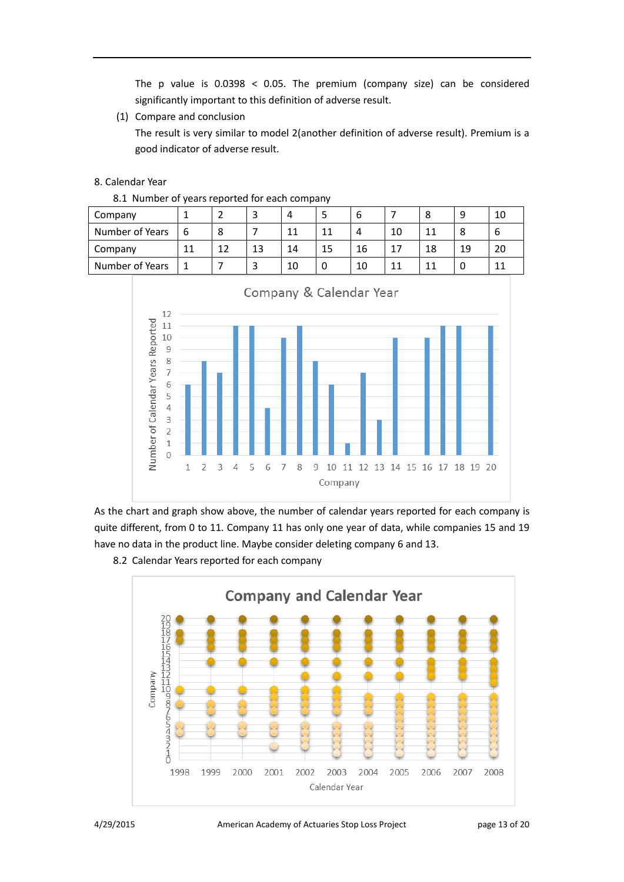The p value is 0.0398 < 0.05. The premium (company size) can be considered significantly important to this definition of adverse result.

(1) Compare and conclusion

The result is very similar to model 2(another definition of adverse result). Premium is a good indicator of adverse result.

## 8. Calendar Year

|  |  |  |  |  | 8.1 Number of years reported for each company |
|--|--|--|--|--|-----------------------------------------------|
|--|--|--|--|--|-----------------------------------------------|

| Company         |    |    |    |    |    | b  |    | O<br>Ο | q  | 10 |
|-----------------|----|----|----|----|----|----|----|--------|----|----|
| Number of Years | 6  | 8  |    | 11 | 11 | 4  | 10 | 11     | 8  |    |
| Company         | 11 | 12 | 13 | 14 | 15 | 16 | 17 | 18     | 19 | 20 |
| Number of Years |    |    |    | 10 | 0  | 10 | 11 | 11     |    | 11 |



As the chart and graph show above, the number of calendar years reported for each company is quite different, from 0 to 11. Company 11 has only one year of data, while companies 15 and 19 have no data in the product line. Maybe consider deleting company 6 and 13.



8.2 Calendar Years reported for each company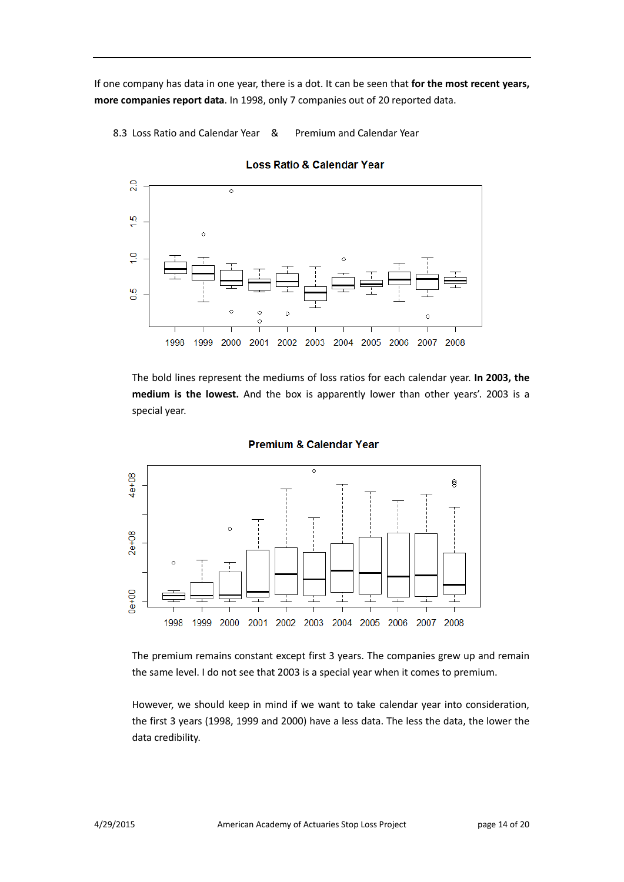If one company has data in one year, there is a dot. It can be seen that **for the most recent years, more companies report data**. In 1998, only 7 companies out of 20 reported data.

8.3 Loss Ratio and Calendar Year & Premium and Calendar Year



**Loss Ratio & Calendar Year** 

The bold lines represent the mediums of loss ratios for each calendar year. **In 2003, the medium is the lowest.** And the box is apparently lower than other years'. 2003 is a special year.



## **Premium & Calendar Year**

The premium remains constant except first 3 years. The companies grew up and remain the same level. I do not see that 2003 is a special year when it comes to premium.

However, we should keep in mind if we want to take calendar year into consideration, the first 3 years (1998, 1999 and 2000) have a less data. The less the data, the lower the data credibility.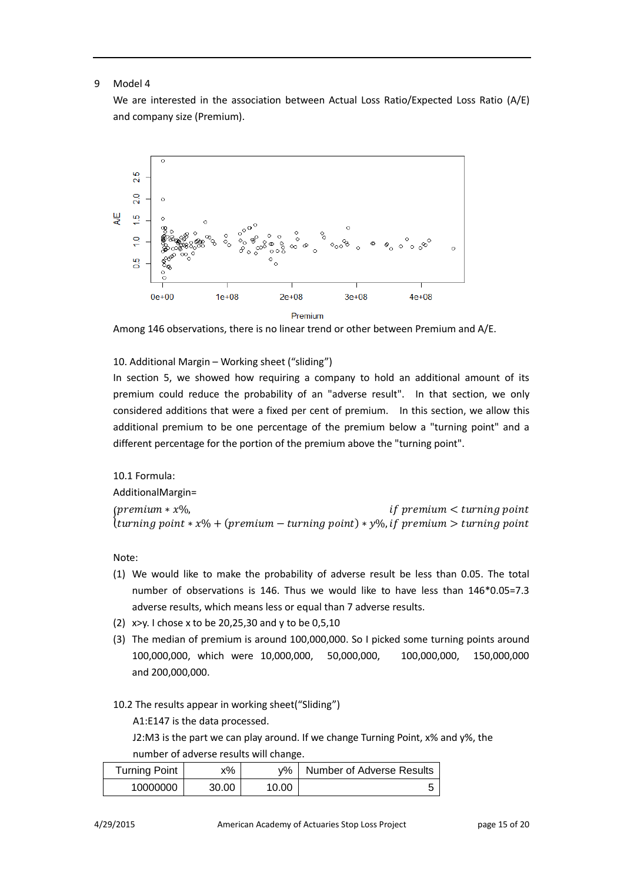## 9 Model 4

We are interested in the association between Actual Loss Ratio/Expected Loss Ratio (A/E) and company size (Premium).



Among 146 observations, there is no linear trend or other between Premium and A/E.

## 10. Additional Margin – Working sheet ("sliding")

In section 5, we showed how requiring a company to hold an additional amount of its premium could reduce the probability of an "adverse result". In that section, we only considered additions that were a fixed per cent of premium. In this section, we allow this additional premium to be one percentage of the premium below a "turning point" and a different percentage for the portion of the premium above the "turning point".

## 10.1 Formula: AdditionalMargin= for entiting the string point  $*$  x% + (premium – turning point)  $*$  y%, if premium > turning point  $*$  x% + (premium – turning point)  $*$  y%, if premium > turning point ∗ %, <

Note:

- (1) We would like to make the probability of adverse result be less than 0.05. The total number of observations is 146. Thus we would like to have less than 146\*0.05=7.3 adverse results, which means less or equal than 7 adverse results.
- (2) x>y. I chose x to be 20,25,30 and y to be 0,5,10
- (3) The median of premium is around 100,000,000. So I picked some turning points around 100,000,000, which were 10,000,000, 50,000,000, 100,000,000, 150,000,000 and 200,000,000.
- 10.2 The results appear in working sheet("Sliding")

A1:E147 is the data processed.

J2:M3 is the part we can play around. If we change Turning Point, x% and y%, the number of adverse results will change.

| Turning Point | x%    | v% ·  | Number of Adverse Results |
|---------------|-------|-------|---------------------------|
| 10000000      | 30.00 | 10.00 |                           |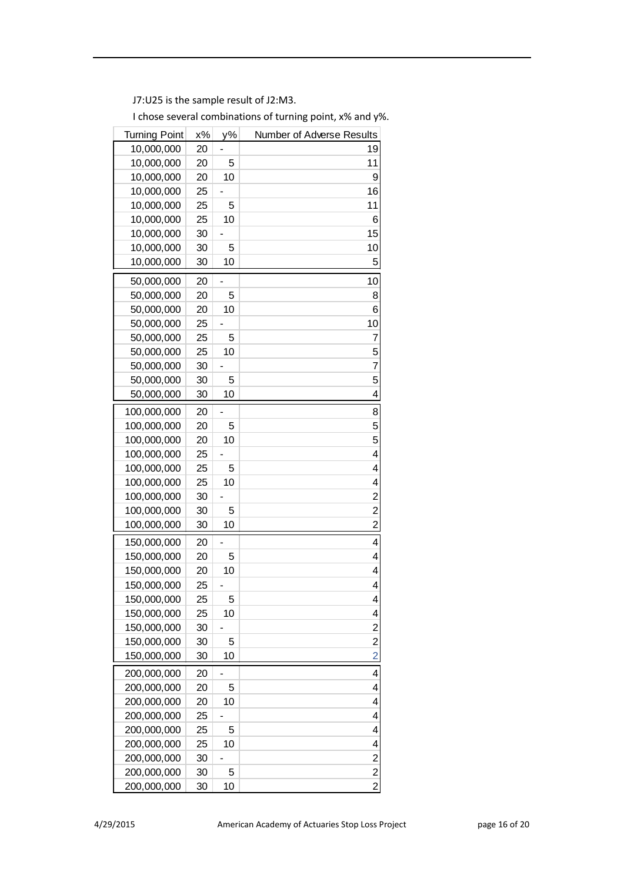J7:U25 is the sample result of J2:M3.

| $x\%$<br>y%<br>Number of Adverse Results<br>Turning Point |                         |
|-----------------------------------------------------------|-------------------------|
| 10,000,000<br>20                                          | 19                      |
| 10,000,000<br>20<br>5                                     | 11                      |
| 10,000,000<br>10<br>20                                    | 9                       |
| 10,000,000<br>25                                          | 16                      |
| 10,000,000<br>25<br>5                                     | 11                      |
| 10,000,000<br>10<br>25                                    | 6                       |
| 10,000,000<br>30                                          | 15                      |
| 10,000,000<br>30<br>5                                     | 10                      |
| 10,000,000<br>10<br>30                                    | 5                       |
| 50,000,000<br>20                                          | 10                      |
| 50,000,000<br>20<br>5                                     | 8                       |
| 50,000,000<br>20<br>10                                    | 6                       |
| 50,000,000<br>25                                          | 10                      |
| 50,000,000<br>25<br>5                                     | 7                       |
| 50,000,000<br>25<br>10                                    | 5                       |
| 50,000,000<br>30                                          | 7                       |
| 50,000,000<br>30<br>5                                     | 5                       |
| 10<br>50,000,000<br>30                                    | 4                       |
| 100,000,000<br>20                                         | 8                       |
| 100,000,000<br>20<br>5                                    | 5                       |
| 100,000,000<br>10<br>20                                   | 5                       |
| 100,000,000<br>25                                         | 4                       |
| 100,000,000<br>25<br>5                                    | 4                       |
| 100,000,000<br>25<br>10                                   | 4                       |
| 100,000,000<br>30                                         | $\overline{\mathbf{c}}$ |
| 100,000,000<br>30<br>5                                    | $\overline{\mathbf{c}}$ |
| 100,000,000<br>10<br>30                                   | $\overline{c}$          |
| 20<br>150,000,000                                         | 4                       |
| 150,000,000<br>20<br>5                                    | 4                       |
| 10<br>150,000,000<br>20                                   | 4                       |
| 150,000,000<br>25                                         | 4                       |
| 150,000,000<br>25<br>5                                    | 4                       |
| 150,000,000<br>10<br>25                                   | 4                       |
| 150,000,000<br>30                                         | $\overline{\mathbf{c}}$ |
| 150,000,000<br>30<br>5                                    | $\overline{\mathbf{c}}$ |
| 150,000,000<br>30<br>10                                   | $\overline{2}$          |
| 200,000,000<br>20                                         | 4                       |
| 200,000,000<br>20<br>5                                    | 4                       |
| 200,000,000<br>10<br>20                                   | 4                       |
| 200,000,000<br>25                                         | 4                       |
| 200,000,000<br>25<br>5                                    | 4                       |
| 200,000,000<br>10<br>25                                   | 4                       |
| 200,000,000<br>30                                         | $\overline{\mathbf{c}}$ |
| 200,000,000<br>30<br>5                                    | $\overline{2}$          |
| 200,000,000<br>10<br>30                                   | $\overline{2}$          |

I chose several combinations of turning point, x% and y%.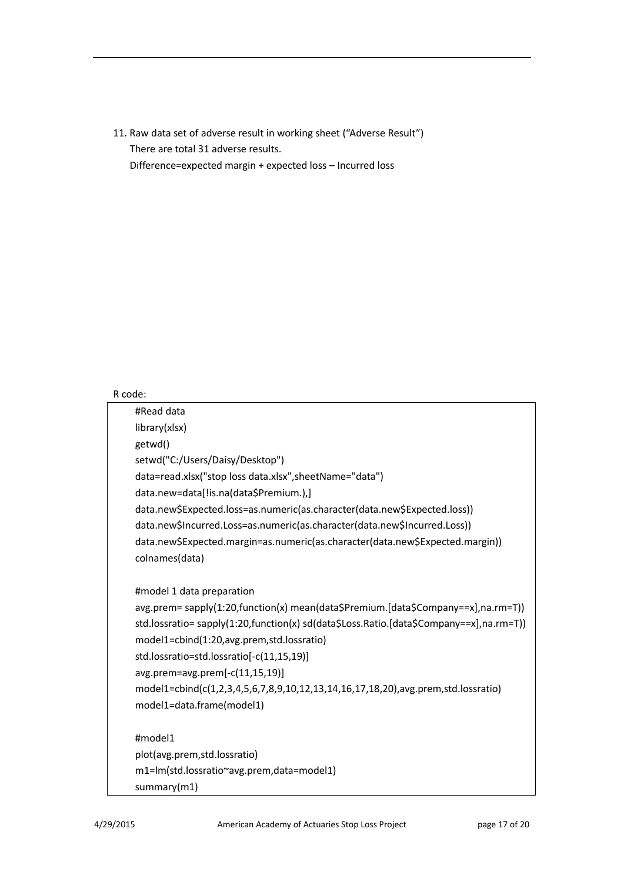11. Raw data set of adverse result in working sheet ("Adverse Result") There are total 31 adverse results. Difference=expected margin + expected loss – Incurred loss

## R code:

| #Read data                                                                              |
|-----------------------------------------------------------------------------------------|
| library(xlsx)                                                                           |
| getwd()                                                                                 |
| setwd("C:/Users/Daisy/Desktop")                                                         |
| data=read.xlsx("stop loss data.xlsx", sheetName="data")                                 |
| data.new=data[!is.na(data\$Premium.),]                                                  |
| data.new\$Expected.loss=as.numeric(as.character(data.new\$Expected.loss))               |
| data.new\$Incurred.Loss=as.numeric(as.character(data.new\$Incurred.Loss))               |
| data.new\$Expected.margin=as.numeric(as.character(data.new\$Expected.margin))           |
| colnames(data)                                                                          |
|                                                                                         |
| #model 1 data preparation                                                               |
| avg.prem= sapply(1:20,function(x) mean(data\$Premium.[data\$Company==x],na.rm=T))       |
| std.lossratio= sapply(1:20,function(x) sd(data\$Loss.Ratio.[data\$Company==x],na.rm=T)) |
| model1=cbind(1:20,avg.prem,std.lossratio)                                               |
| std.lossratio=std.lossratio[-c(11,15,19)]                                               |
| avg.prem=avg.prem[-c(11,15,19)]                                                         |
| model1=cbind(c(1,2,3,4,5,6,7,8,9,10,12,13,14,16,17,18,20),avg.prem,std.lossratio)       |
| model1=data.frame(model1)                                                               |
|                                                                                         |
| #model1                                                                                 |
| plot(avg.prem,std.lossratio)                                                            |
| m1=lm(std.lossratio~avg.prem,data=model1)                                               |
| summary(m1)                                                                             |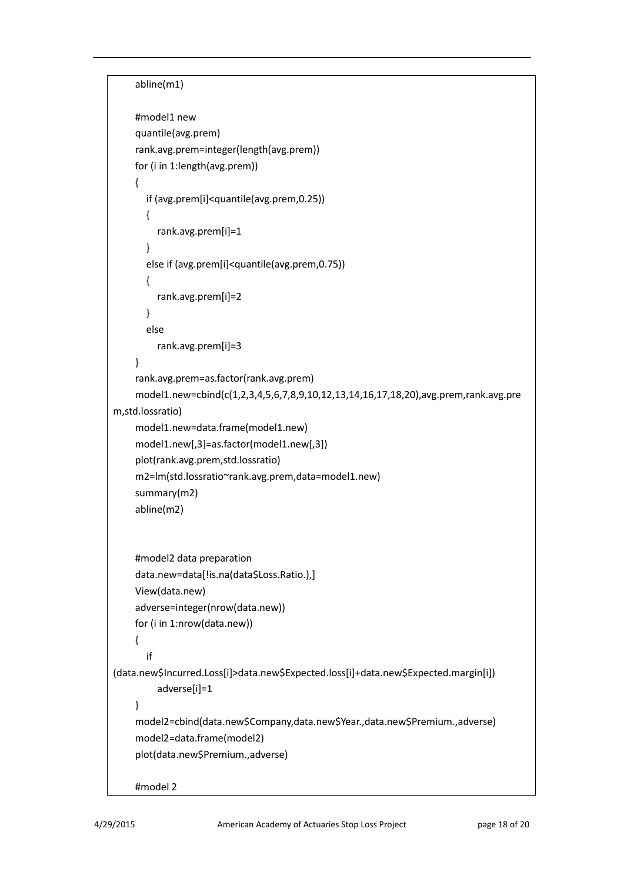```
abline(m1)
    #model1 new
    quantile(avg.prem)
    rank.avg.prem=integer(length(avg.prem))
    for (i in 1:length(avg.prem))
    {
        if (avg.prem[i]<quantile(avg.prem,0.25))
        {
          rank.avg.prem[i]=1 
        }
        else if (avg.prem[i]<quantile(avg.prem,0.75))
        {
          rank.avg.prem[i]=2 
        }
        else
          rank.avg.prem[i]=3
    }
    rank.avg.prem=as.factor(rank.avg.prem)
    model1.new=cbind(c(1,2,3,4,5,6,7,8,9,10,12,13,14,16,17,18,20),avg.prem,rank.avg.pre
m,std.lossratio)
    model1.new=data.frame(model1.new)
    model1.new[,3]=as.factor(model1.new[,3])
    plot(rank.avg.prem,std.lossratio)
    m2=lm(std.lossratio~rank.avg.prem,data=model1.new)
    summary(m2)
    abline(m2)
    #model2 data preparation
    data.new=data[!is.na(data$Loss.Ratio.),]
    View(data.new)
    adverse=integer(nrow(data.new))
    for (i in 1:nrow(data.new))
    {
        if 
(data.new$Incurred.Loss[i]>data.new$Expected.loss[i]+data.new$Expected.margin[i])
          adverse[i]=1
    }
    model2=cbind(data.new$Company,data.new$Year.,data.new$Premium.,adverse)
    model2=data.frame(model2)
    plot(data.new$Premium.,adverse)
    #model 2
```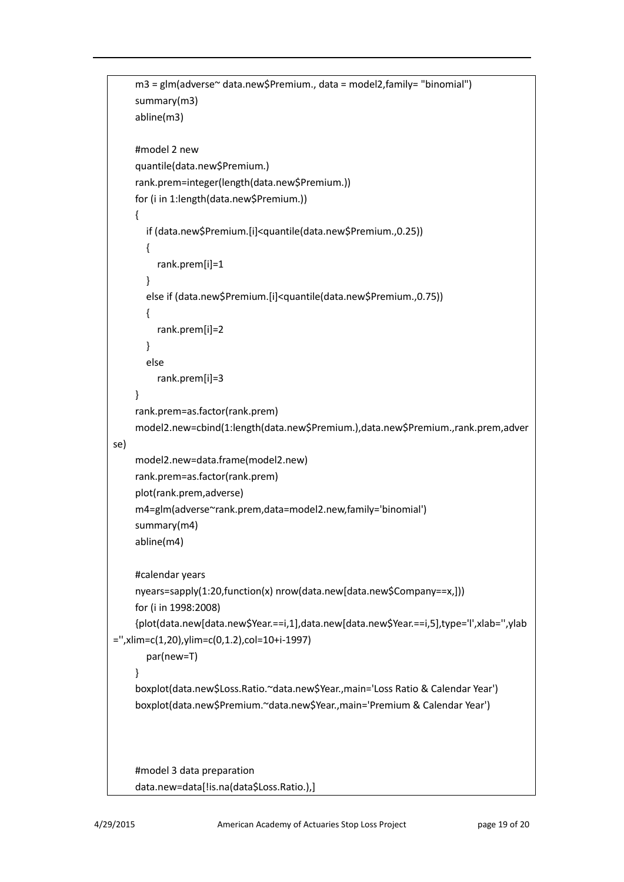```
m3 = glm(adverse~ data.new$Premium., data = model2,family= "binomial")
    summary(m3)
    abline(m3)
    #model 2 new
    quantile(data.new$Premium.)
    rank.prem=integer(length(data.new$Premium.))
    for (i in 1:length(data.new$Premium.))
    {
        if (data.new$Premium.[i]<quantile(data.new$Premium.,0.25))
       {
          rank.prem[i]=1 
        }
        else if (data.new$Premium.[i]<quantile(data.new$Premium.,0.75))
        {
          rank.prem[i]=2 
       }
        else
          rank.prem[i]=3
    }
    rank.prem=as.factor(rank.prem)
    model2.new=cbind(1:length(data.new$Premium.),data.new$Premium.,rank.prem,adver
se)
    model2.new=data.frame(model2.new)
    rank.prem=as.factor(rank.prem)
    plot(rank.prem,adverse)
    m4=glm(adverse~rank.prem,data=model2.new,family='binomial')
    summary(m4)
    abline(m4)
    #calendar years
    nyears=sapply(1:20,function(x) nrow(data.new[data.new$Company==x,]))
    for (i in 1998:2008)
    {plot(data.new[data.new$Year.==i,1],data.new[data.new$Year.==i,5],type='l',xlab='',ylab
='',xlim=c(1,20),ylim=c(0,1.2),col=10+i-1997)
        par(new=T)
    }
    boxplot(data.new$Loss.Ratio.~data.new$Year.,main='Loss Ratio & Calendar Year')
    boxplot(data.new$Premium.~data.new$Year.,main='Premium & Calendar Year')
    #model 3 data preparation
    data.new=data[!is.na(data$Loss.Ratio.),]
```